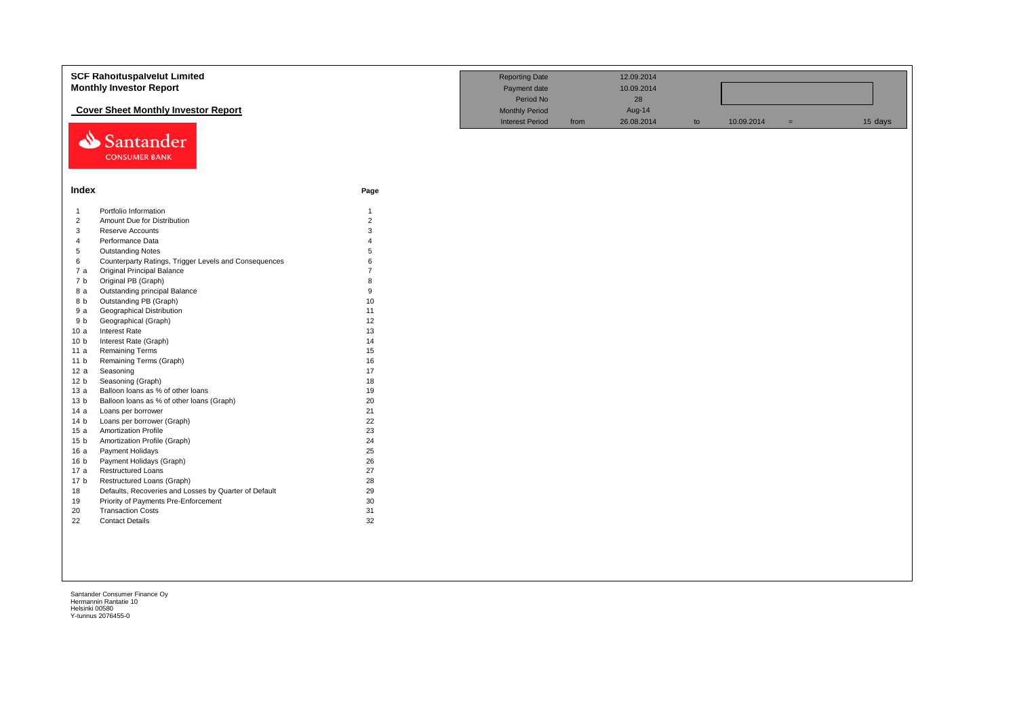|                         | <b>SCF Rahoituspalvelut Limited</b><br><b>Monthly Investor Report</b>               |                                                 | <b>Reporting Date</b><br>Payment date<br>Period No |            | 12.09.2014<br>10.09.2014<br>28<br>Aug-14 |            |     |         |  |
|-------------------------|-------------------------------------------------------------------------------------|-------------------------------------------------|----------------------------------------------------|------------|------------------------------------------|------------|-----|---------|--|
|                         | <b>Cover Sheet Monthly Investor Report</b><br>Santander<br><b>CONSUMER BANK</b>     | <b>Monthly Period</b><br><b>Interest Period</b> | from                                               | 26.08.2014 | to                                       | 10.09.2014 | $=$ | 15 days |  |
| Index                   |                                                                                     | Page                                            |                                                    |            |                                          |            |     |         |  |
| -1                      | Portfolio Information                                                               | $\mathbf{1}$                                    |                                                    |            |                                          |            |     |         |  |
| $\overline{2}$          | Amount Due for Distribution                                                         | $\overline{2}$                                  |                                                    |            |                                          |            |     |         |  |
| 3                       | <b>Reserve Accounts</b>                                                             | 3                                               |                                                    |            |                                          |            |     |         |  |
| $\overline{4}$          | Performance Data                                                                    | $\Delta$                                        |                                                    |            |                                          |            |     |         |  |
| 5                       | <b>Outstanding Notes</b>                                                            | 5<br>6                                          |                                                    |            |                                          |            |     |         |  |
| 6<br>7a                 | Counterparty Ratings, Trigger Levels and Consequences<br>Original Principal Balance |                                                 |                                                    |            |                                          |            |     |         |  |
| 7 b                     | Original PB (Graph)                                                                 | 8                                               |                                                    |            |                                          |            |     |         |  |
| 8 a                     | Outstanding principal Balance                                                       | 9                                               |                                                    |            |                                          |            |     |         |  |
| 8 b                     | Outstanding PB (Graph)                                                              | 10                                              |                                                    |            |                                          |            |     |         |  |
| 9a                      | <b>Geographical Distribution</b>                                                    | 11                                              |                                                    |            |                                          |            |     |         |  |
| 9 b                     | Geographical (Graph)                                                                | 12                                              |                                                    |            |                                          |            |     |         |  |
| 10a                     | Interest Rate                                                                       | 13                                              |                                                    |            |                                          |            |     |         |  |
| 10 <sub>b</sub>         | Interest Rate (Graph)                                                               | 14                                              |                                                    |            |                                          |            |     |         |  |
| 11 a                    | <b>Remaining Terms</b>                                                              | 15                                              |                                                    |            |                                          |            |     |         |  |
| 11 <sub>b</sub>         | Remaining Terms (Graph)                                                             | 16                                              |                                                    |            |                                          |            |     |         |  |
| 12a                     | Seasoning                                                                           | 17                                              |                                                    |            |                                          |            |     |         |  |
| 12 <sub>b</sub>         | Seasoning (Graph)                                                                   | 18                                              |                                                    |            |                                          |            |     |         |  |
| 13a                     | Balloon loans as % of other loans                                                   | 19                                              |                                                    |            |                                          |            |     |         |  |
| 13 <sub>b</sub><br>14 a | Balloon loans as % of other loans (Graph)<br>Loans per borrower                     | 20<br>21                                        |                                                    |            |                                          |            |     |         |  |
| 14 <sub>b</sub>         | Loans per borrower (Graph)                                                          | 22                                              |                                                    |            |                                          |            |     |         |  |
| 15a                     | <b>Amortization Profile</b>                                                         | 23                                              |                                                    |            |                                          |            |     |         |  |
| 15 <sub>b</sub>         | Amortization Profile (Graph)                                                        | 24                                              |                                                    |            |                                          |            |     |         |  |
| 16a                     | Payment Holidays                                                                    | 25                                              |                                                    |            |                                          |            |     |         |  |
| 16 <sub>b</sub>         | Payment Holidays (Graph)                                                            | 26                                              |                                                    |            |                                          |            |     |         |  |
| 17 a                    | <b>Restructured Loans</b>                                                           | 27                                              |                                                    |            |                                          |            |     |         |  |
| 17 <sub>b</sub>         | Restructured Loans (Graph)                                                          | 28                                              |                                                    |            |                                          |            |     |         |  |
| 18                      | Defaults, Recoveries and Losses by Quarter of Default                               | 29                                              |                                                    |            |                                          |            |     |         |  |
| 19                      | Priority of Payments Pre-Enforcement                                                | 30                                              |                                                    |            |                                          |            |     |         |  |
| 20                      | <b>Transaction Costs</b>                                                            | 31                                              |                                                    |            |                                          |            |     |         |  |
| 22                      | <b>Contact Details</b>                                                              | 32                                              |                                                    |            |                                          |            |     |         |  |
|                         |                                                                                     |                                                 |                                                    |            |                                          |            |     |         |  |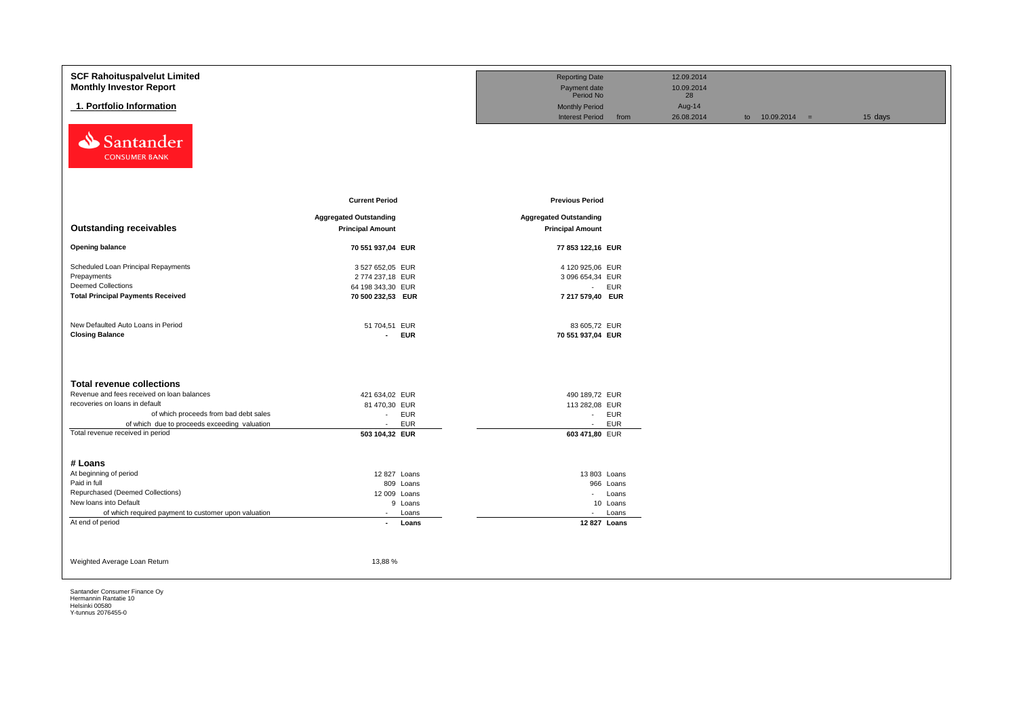| <b>SCF Rahoituspalvelut Limited</b>                                              |                                            | <b>Reporting Date</b>                                   | 12.09.2014   |                   |         |
|----------------------------------------------------------------------------------|--------------------------------------------|---------------------------------------------------------|--------------|-------------------|---------|
| <b>Monthly Investor Report</b>                                                   |                                            | Payment date                                            | 10.09.2014   |                   |         |
| 1. Portfolio Information                                                         |                                            | Period No                                               | 28<br>Aug-14 |                   |         |
|                                                                                  |                                            | <b>Monthly Period</b><br><b>Interest Period</b><br>from | 26.08.2014   | to $10.09.2014 =$ | 15 days |
| Santander<br>⇘<br><b>CONSUMER BANK</b>                                           |                                            |                                                         |              |                   |         |
|                                                                                  | <b>Current Period</b>                      | <b>Previous Period</b>                                  |              |                   |         |
|                                                                                  | <b>Aggregated Outstanding</b>              | <b>Aggregated Outstanding</b>                           |              |                   |         |
| <b>Outstanding receivables</b>                                                   | <b>Principal Amount</b>                    | <b>Principal Amount</b>                                 |              |                   |         |
|                                                                                  |                                            |                                                         |              |                   |         |
| <b>Opening balance</b>                                                           | 70 551 937,04 EUR                          | 77 853 122,16 EUR                                       |              |                   |         |
| Scheduled Loan Principal Repayments                                              | 3 527 652,05 EUR                           | 4 120 925,06 EUR                                        |              |                   |         |
| Prepayments                                                                      | 2774 237,18 EUR                            | 3 096 654,34 EUR                                        |              |                   |         |
| <b>Deemed Collections</b>                                                        | 64 198 343,30 EUR                          | - EUR                                                   |              |                   |         |
| <b>Total Principal Payments Received</b>                                         | 70 500 232,53 EUR                          | 7 217 579,40 EUR                                        |              |                   |         |
|                                                                                  |                                            |                                                         |              |                   |         |
| New Defaulted Auto Loans in Period                                               | 51 704,51 EUR                              | 83 605,72 EUR                                           |              |                   |         |
| <b>Closing Balance</b>                                                           | <b>EUR</b><br>$\sim$                       | 70 551 937,04 EUR                                       |              |                   |         |
|                                                                                  |                                            |                                                         |              |                   |         |
|                                                                                  |                                            |                                                         |              |                   |         |
|                                                                                  |                                            |                                                         |              |                   |         |
| <b>Total revenue collections</b>                                                 |                                            |                                                         |              |                   |         |
| Revenue and fees received on loan balances                                       | 421 634,02 EUR                             | 490 189,72 EUR                                          |              |                   |         |
| recoveries on loans in default                                                   | 81 470,30 EUR                              | 113 282,08 EUR                                          |              |                   |         |
| of which proceeds from bad debt sales                                            | <b>EUR</b><br>$\sim$                       | <b>EUR</b><br>$\mathbf{z} = \mathbf{z}$                 |              |                   |         |
| of which due to proceeds exceeding valuation<br>Total revenue received in period | <b>EUR</b><br>$\sim$                       | EUR<br>$\sim$                                           |              |                   |         |
|                                                                                  | 503 104,32 EUR                             | 603 471,80 EUR                                          |              |                   |         |
|                                                                                  |                                            |                                                         |              |                   |         |
| # Loans                                                                          |                                            |                                                         |              |                   |         |
| At beginning of period                                                           | 12 827 Loans                               | 13 803 Loans                                            |              |                   |         |
| Paid in full                                                                     | 809 Loans                                  | 966 Loans                                               |              |                   |         |
| Repurchased (Deemed Collections)                                                 | 12 009 Loans                               | - Loans                                                 |              |                   |         |
| New loans into Default                                                           | 9 Loans                                    | 10 Loans                                                |              |                   |         |
| of which required payment to customer upon valuation<br>At end of period         | Loans<br>$\sim$<br>Loans<br>$\blacksquare$ | Loans<br>$\sim$<br>12 827 Loans                         |              |                   |         |
|                                                                                  |                                            |                                                         |              |                   |         |
|                                                                                  |                                            |                                                         |              |                   |         |
|                                                                                  |                                            |                                                         |              |                   |         |
| Weighted Average Loan Return                                                     | 13,88%                                     |                                                         |              |                   |         |
|                                                                                  |                                            |                                                         |              |                   |         |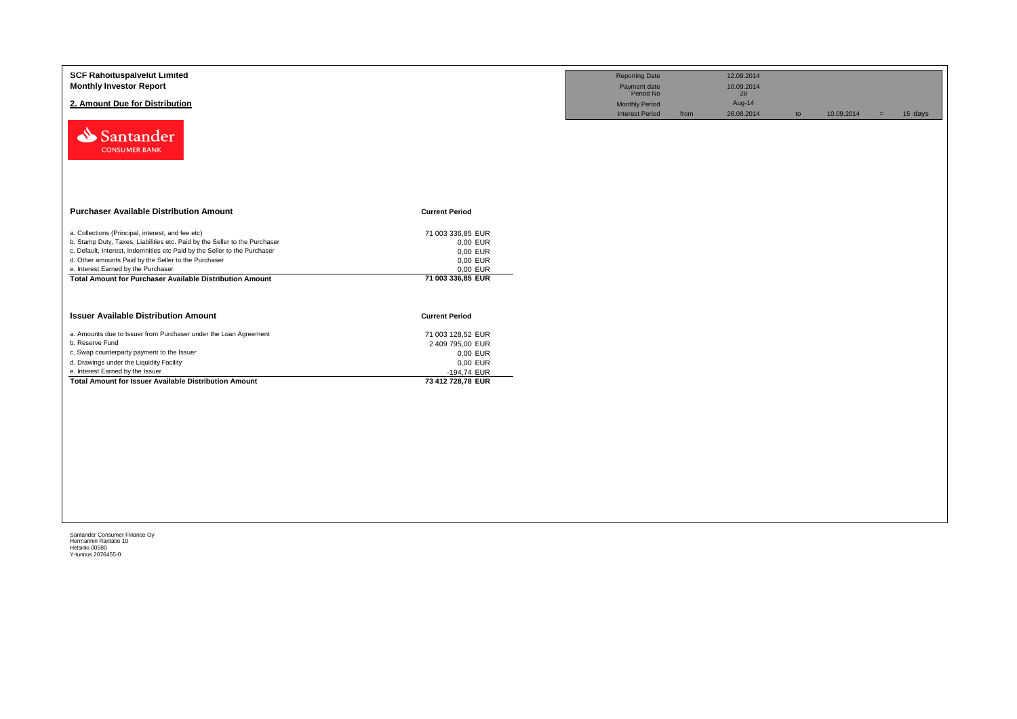| <b>SCF Rahoituspalvelut Limited</b><br><b>Monthly Investor Report</b><br>2. Amount Due for Distribution<br>Santander<br><b>CONSUMER BANK</b>                                                                                                                                                                                                                                   |                                                                                                   | <b>Reporting Date</b><br>Payment date<br>Period No<br><b>Monthly Period</b><br><b>Interest Period</b> | from | 12.09.2014<br>10.09.2014<br>28<br>Aug-14<br>26.08.2014 | to | 10.09.2014 | $=$ | 15 days |
|--------------------------------------------------------------------------------------------------------------------------------------------------------------------------------------------------------------------------------------------------------------------------------------------------------------------------------------------------------------------------------|---------------------------------------------------------------------------------------------------|-------------------------------------------------------------------------------------------------------|------|--------------------------------------------------------|----|------------|-----|---------|
| <b>Purchaser Available Distribution Amount</b>                                                                                                                                                                                                                                                                                                                                 | <b>Current Period</b>                                                                             |                                                                                                       |      |                                                        |    |            |     |         |
| a. Collections (Principal, interest, and fee etc)<br>b. Stamp Duty, Taxes, Liabilities etc. Paid by the Seller to the Purchaser<br>c. Default, Interest, Indemnities etc Paid by the Seller to the Purchaser<br>d. Other amounts Paid by the Seller to the Purchaser<br>e. Interest Earned by the Purchaser<br><b>Total Amount for Purchaser Available Distribution Amount</b> | 71 003 336,85 EUR<br>0,00 EUR<br>0,00 EUR<br>0,00 EUR<br>0,00 EUR<br>71 003 336,85 EUR            |                                                                                                       |      |                                                        |    |            |     |         |
| <b>Issuer Available Distribution Amount</b>                                                                                                                                                                                                                                                                                                                                    | <b>Current Period</b>                                                                             |                                                                                                       |      |                                                        |    |            |     |         |
| a. Amounts due to Issuer from Purchaser under the Loan Agreement<br>b. Reserve Fund<br>c. Swap counterparty payment to the Issuer<br>d. Drawings under the Liquidity Facility<br>e. Interest Earned by the Issuer<br><b>Total Amount for Issuer Available Distribution Amount</b>                                                                                              | 71 003 128,52 EUR<br>2 409 795,00 EUR<br>0,00 EUR<br>0,00 EUR<br>-194,74 EUR<br>73 412 728,78 EUR |                                                                                                       |      |                                                        |    |            |     |         |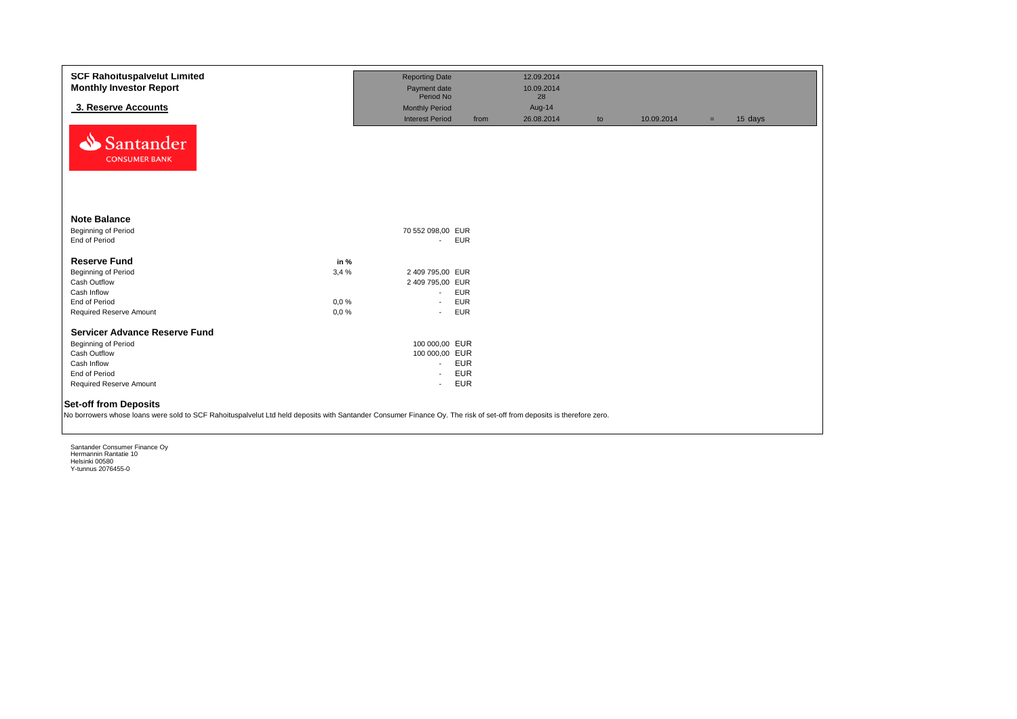| <b>SCF Rahoituspalvelut Limited</b><br><b>Monthly Investor Report</b>                                                                                                                                 |          | <b>Reporting Date</b><br>Payment date |            | 12.09.2014<br>10.09.2014 |    |            |     |         |
|-------------------------------------------------------------------------------------------------------------------------------------------------------------------------------------------------------|----------|---------------------------------------|------------|--------------------------|----|------------|-----|---------|
|                                                                                                                                                                                                       |          | Period No                             |            | 28                       |    |            |     |         |
| 3. Reserve Accounts                                                                                                                                                                                   |          | <b>Monthly Period</b>                 |            | Aug-14                   |    |            |     |         |
| Santander<br><b>CONSUMER BANK</b>                                                                                                                                                                     |          | <b>Interest Period</b>                | from       | 26.08.2014               | to | 10.09.2014 | $=$ | 15 days |
| <b>Note Balance</b>                                                                                                                                                                                   |          |                                       |            |                          |    |            |     |         |
| <b>Beginning of Period</b>                                                                                                                                                                            |          | 70 552 098,00 EUR                     |            |                          |    |            |     |         |
| End of Period                                                                                                                                                                                         |          | $\blacksquare$                        | <b>EUR</b> |                          |    |            |     |         |
| <b>Reserve Fund</b>                                                                                                                                                                                   | in %     |                                       |            |                          |    |            |     |         |
| <b>Beginning of Period</b>                                                                                                                                                                            | 3,4%     | 2 409 795,00 EUR                      |            |                          |    |            |     |         |
| Cash Outflow                                                                                                                                                                                          |          | 2 409 795,00 EUR                      |            |                          |    |            |     |         |
| Cash Inflow                                                                                                                                                                                           |          | $\overline{\phantom{a}}$              | <b>EUR</b> |                          |    |            |     |         |
| End of Period                                                                                                                                                                                         | 0,0%     | $\overline{\phantom{a}}$              | <b>EUR</b> |                          |    |            |     |         |
| Required Reserve Amount                                                                                                                                                                               | $0.0 \%$ | $\sim$                                | <b>EUR</b> |                          |    |            |     |         |
| <b>Servicer Advance Reserve Fund</b>                                                                                                                                                                  |          |                                       |            |                          |    |            |     |         |
| Beginning of Period                                                                                                                                                                                   |          | 100 000,00 EUR                        |            |                          |    |            |     |         |
| Cash Outflow                                                                                                                                                                                          |          | 100 000,00 EUR                        |            |                          |    |            |     |         |
| Cash Inflow                                                                                                                                                                                           |          | $\sim$                                | <b>EUR</b> |                          |    |            |     |         |
| End of Period                                                                                                                                                                                         |          | $\sim$                                | <b>EUR</b> |                          |    |            |     |         |
| Required Reserve Amount                                                                                                                                                                               |          | $\overline{a}$                        | <b>EUR</b> |                          |    |            |     |         |
| <b>Set-off from Deposits</b><br>No borrowers whose loans were sold to SCF Rahoituspalvelut Ltd held deposits with Santander Consumer Finance Oy. The risk of set-off from deposits is therefore zero. |          |                                       |            |                          |    |            |     |         |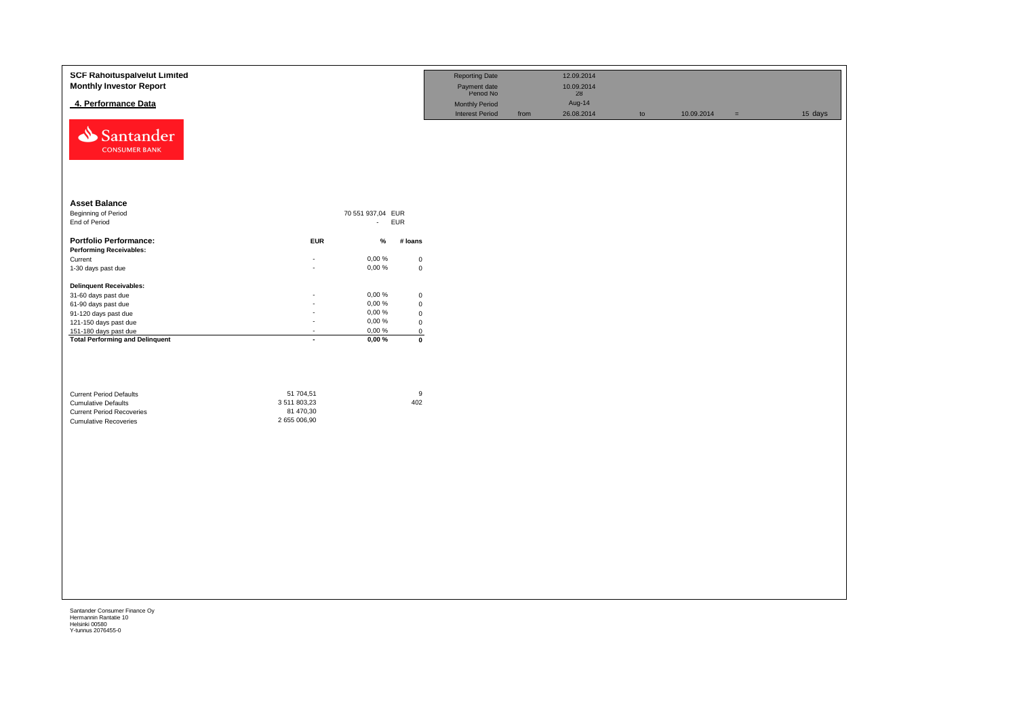| Santander<br><b>CONSUMER BANK</b><br><b>Asset Balance</b><br><b>Beginning of Period</b><br>70 551 937,04 EUR<br>End of Period<br>- EUR<br><b>Portfolio Performance:</b><br><b>EUR</b><br>$\%$<br># loans<br><b>Performing Receivables:</b><br>0,00%<br>Current<br>$\mathbf 0$<br>٠<br>$0,00 \%$<br>1-30 days past due<br>$\mathbf 0$<br>÷.<br><b>Delinquent Receivables:</b><br>0,00%<br>31-60 days past due<br>$\mathbf 0$<br>0,00%<br>$\mathbf 0$<br>61-90 days past due<br>÷.<br>0,00%<br>91-120 days past due<br>$\mathbf 0$<br>ä,<br>0,00%<br>121-150 days past due<br>$\mathbf 0$<br>$\overline{\phantom{a}}$<br>151-180 days past due<br>0,00 %<br>$\overline{0}$<br>$\overline{\phantom{a}}$<br><b>Total Performing and Delinquent</b><br>0,00%<br>$\overline{\mathbf{0}}$<br>$\mathbf{r}$<br>9<br>51 704,51<br><b>Current Period Defaults</b><br>402<br>3 511 803,23<br><b>Cumulative Defaults</b><br>81 470,30<br><b>Current Period Recoveries</b><br>2 655 006,90<br><b>Cumulative Recoveries</b> | <b>SCF Rahoituspalvelut Limited</b><br><b>Monthly Investor Report</b><br>4. Performance Data | <b>Reporting Date</b><br>Payment date<br>Period No<br><b>Monthly Period</b><br><b>Interest Period</b> | 12.09.2014<br>10.09.2014<br>28<br>Aug-14<br>from<br>26.08.2014 | to | 10.09.2014 | 15 days<br>$\equiv$ |  |
|--------------------------------------------------------------------------------------------------------------------------------------------------------------------------------------------------------------------------------------------------------------------------------------------------------------------------------------------------------------------------------------------------------------------------------------------------------------------------------------------------------------------------------------------------------------------------------------------------------------------------------------------------------------------------------------------------------------------------------------------------------------------------------------------------------------------------------------------------------------------------------------------------------------------------------------------------------------------------------------------------------------|----------------------------------------------------------------------------------------------|-------------------------------------------------------------------------------------------------------|----------------------------------------------------------------|----|------------|---------------------|--|
|                                                                                                                                                                                                                                                                                                                                                                                                                                                                                                                                                                                                                                                                                                                                                                                                                                                                                                                                                                                                              |                                                                                              |                                                                                                       |                                                                |    |            |                     |  |
|                                                                                                                                                                                                                                                                                                                                                                                                                                                                                                                                                                                                                                                                                                                                                                                                                                                                                                                                                                                                              |                                                                                              |                                                                                                       |                                                                |    |            |                     |  |
|                                                                                                                                                                                                                                                                                                                                                                                                                                                                                                                                                                                                                                                                                                                                                                                                                                                                                                                                                                                                              |                                                                                              |                                                                                                       |                                                                |    |            |                     |  |
|                                                                                                                                                                                                                                                                                                                                                                                                                                                                                                                                                                                                                                                                                                                                                                                                                                                                                                                                                                                                              |                                                                                              |                                                                                                       |                                                                |    |            |                     |  |
|                                                                                                                                                                                                                                                                                                                                                                                                                                                                                                                                                                                                                                                                                                                                                                                                                                                                                                                                                                                                              |                                                                                              |                                                                                                       |                                                                |    |            |                     |  |
|                                                                                                                                                                                                                                                                                                                                                                                                                                                                                                                                                                                                                                                                                                                                                                                                                                                                                                                                                                                                              |                                                                                              |                                                                                                       |                                                                |    |            |                     |  |
|                                                                                                                                                                                                                                                                                                                                                                                                                                                                                                                                                                                                                                                                                                                                                                                                                                                                                                                                                                                                              |                                                                                              |                                                                                                       |                                                                |    |            |                     |  |
|                                                                                                                                                                                                                                                                                                                                                                                                                                                                                                                                                                                                                                                                                                                                                                                                                                                                                                                                                                                                              |                                                                                              |                                                                                                       |                                                                |    |            |                     |  |
|                                                                                                                                                                                                                                                                                                                                                                                                                                                                                                                                                                                                                                                                                                                                                                                                                                                                                                                                                                                                              |                                                                                              |                                                                                                       |                                                                |    |            |                     |  |
|                                                                                                                                                                                                                                                                                                                                                                                                                                                                                                                                                                                                                                                                                                                                                                                                                                                                                                                                                                                                              |                                                                                              |                                                                                                       |                                                                |    |            |                     |  |
|                                                                                                                                                                                                                                                                                                                                                                                                                                                                                                                                                                                                                                                                                                                                                                                                                                                                                                                                                                                                              |                                                                                              |                                                                                                       |                                                                |    |            |                     |  |
|                                                                                                                                                                                                                                                                                                                                                                                                                                                                                                                                                                                                                                                                                                                                                                                                                                                                                                                                                                                                              |                                                                                              |                                                                                                       |                                                                |    |            |                     |  |
|                                                                                                                                                                                                                                                                                                                                                                                                                                                                                                                                                                                                                                                                                                                                                                                                                                                                                                                                                                                                              |                                                                                              |                                                                                                       |                                                                |    |            |                     |  |
|                                                                                                                                                                                                                                                                                                                                                                                                                                                                                                                                                                                                                                                                                                                                                                                                                                                                                                                                                                                                              |                                                                                              |                                                                                                       |                                                                |    |            |                     |  |
|                                                                                                                                                                                                                                                                                                                                                                                                                                                                                                                                                                                                                                                                                                                                                                                                                                                                                                                                                                                                              |                                                                                              |                                                                                                       |                                                                |    |            |                     |  |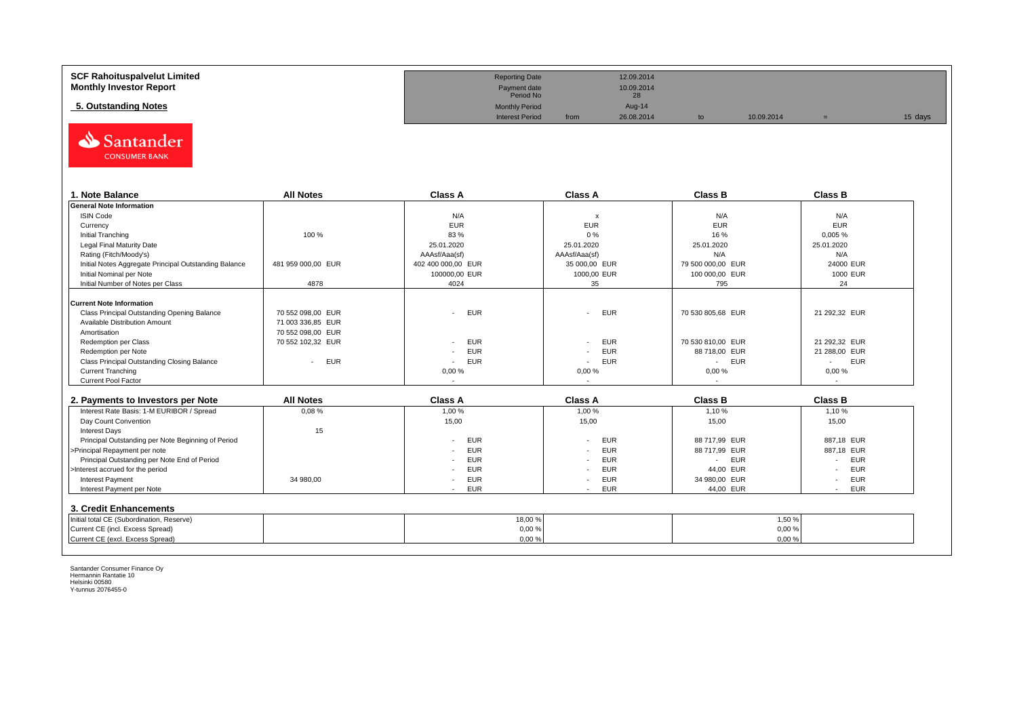| SCF Rahoituspalvelut Limited   | <b>Reporting Date</b>     |      | 12.09.2014       |            |         |
|--------------------------------|---------------------------|------|------------------|------------|---------|
| <b>Monthly Investor Report</b> | Payment date<br>Period No |      | 10.09.2014<br>28 |            |         |
| 5. Outstanding Notes           | <b>Monthly Period</b>     |      | Aug-14           |            |         |
|                                | <b>Interest Period</b>    | from | 26.08.2014       | 10.09.2014 | 15 days |



| 1. Note Balance                                       | <b>All Notes</b>     | <b>Class A</b>     | <b>Class A</b>            | <b>Class B</b>       | <b>Class B</b>       |
|-------------------------------------------------------|----------------------|--------------------|---------------------------|----------------------|----------------------|
| <b>General Note Information</b>                       |                      |                    |                           |                      |                      |
| <b>ISIN Code</b>                                      |                      | N/A                | $\boldsymbol{\mathsf{x}}$ | N/A                  | N/A                  |
| Currency                                              |                      | <b>EUR</b>         | <b>EUR</b>                | <b>EUR</b>           | <b>EUR</b>           |
| Initial Tranching                                     | 100 %                | 83 %               | 0%                        | 16 %                 | 0,005%               |
| Legal Final Maturity Date                             |                      | 25.01.2020         | 25.01.2020                | 25.01.2020           | 25.01.2020           |
| Rating (Fitch/Moody's)                                |                      | AAAsf/Aaa(sf)      | AAAsf/Aaa(sf)             | N/A                  | N/A                  |
| Initial Notes Aggregate Principal Outstanding Balance | 481 959 000,00 EUR   | 402 400 000,00 EUR | 35 000,00 EUR             | 79 500 000,00 EUR    | 24000 EUR            |
| Initial Nominal per Note                              |                      | 100000,00 EUR      | 1000,00 EUR               | 100 000,00 EUR       | 1000 EUR             |
| Initial Number of Notes per Class                     | 4878                 | 4024               | 35                        | 795                  | 24                   |
|                                                       |                      |                    |                           |                      |                      |
| <b>Current Note Information</b>                       |                      |                    |                           |                      |                      |
| Class Principal Outstanding Opening Balance           | 70 552 098.00 EUR    | <b>EUR</b>         | - EUR                     | 70 530 805,68 EUR    | 21 292,32 EUR        |
| Available Distribution Amount                         | 71 003 336,85 EUR    |                    |                           |                      |                      |
| Amortisation                                          | 70 552 098.00 EUR    |                    |                           |                      |                      |
| Redemption per Class                                  | 70 552 102.32 EUR    | <b>EUR</b>         | - EUR                     | 70 530 810.00 EUR    | 21 292.32 EUR        |
| Redemption per Note                                   |                      | <b>EUR</b>         | EUR<br>$\sim$             | 88 718,00 EUR        | 21 288,00 EUR        |
| Class Principal Outstanding Closing Balance           | <b>EUR</b><br>$\sim$ | <b>EUR</b>         | EUR<br>$\sim$             | <b>EUR</b><br>$\sim$ | <b>EUR</b><br>$\sim$ |
| <b>Current Tranching</b>                              |                      | 0,00%              | 0,00%                     | 0,00%                | 0,00%                |
| <b>Current Pool Factor</b>                            |                      |                    |                           |                      |                      |

| 2. Payments to Investors per Note                  | <b>All Notes</b> | <b>Class A</b> | <b>Class A</b>       | <b>Class B</b> | <b>Class B</b>                         |
|----------------------------------------------------|------------------|----------------|----------------------|----------------|----------------------------------------|
| Interest Rate Basis: 1-M EURIBOR / Spread          | 0.08%            | 1,00 %         | 1,00 %               | 1.10 %         | 1,10 %                                 |
| Day Count Convention                               |                  | 15,00          | 15,00                | 15,00          | 15,00                                  |
| <b>Interest Days</b>                               | 15               |                |                      |                |                                        |
| Principal Outstanding per Note Beginning of Period |                  | EUR            | <b>EUR</b>           | 88 717.99 EUR  | 887.18 EUR                             |
| >Principal Repayment per note                      |                  | EUR            | <b>EUR</b>           | 88 717.99 EUR  | 887,18 EUR                             |
| Principal Outstanding per Note End of Period       |                  | EUR            | <b>EUR</b>           | EUR            | <b>EUR</b>                             |
| >Interest accrued for the period                   |                  | <b>EUR</b>     | <b>EUR</b>           | 44.00 EUR      | <b>EUR</b>                             |
| <b>Interest Payment</b>                            | 34 980.00        | EUR            | <b>EUR</b><br>$\sim$ | 34 980.00 EUR  | <b>EUR</b><br>$\overline{\phantom{a}}$ |
| Interest Payment per Note                          |                  | <b>EUR</b>     | <b>EUR</b>           | 44,00 EUR      | <b>EUR</b>                             |
| 3. Credit Enhancements                             |                  |                |                      |                |                                        |
| Initial total CE (Subordination, Reserve)          |                  | 18,00 %        |                      |                | 1,50%                                  |
| Current CE (incl. Excess Spread)                   |                  | 0,00%          |                      |                | 0,00%                                  |
| Current CE (excl. Excess Spread)                   |                  | 0,00%          |                      |                | 0,00%                                  |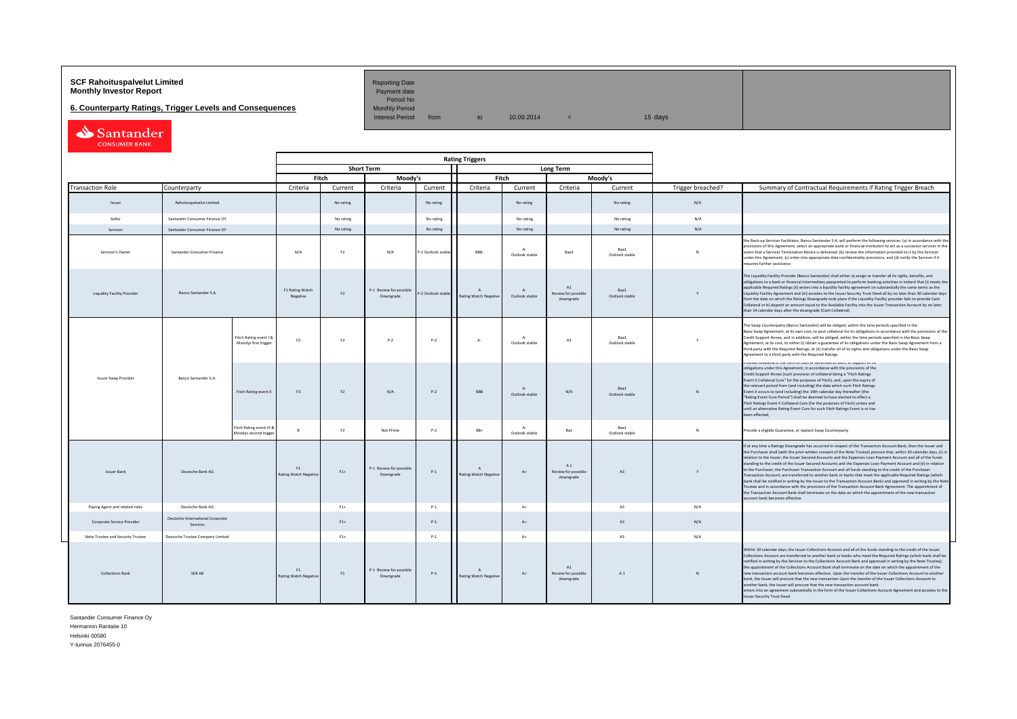## **SCF Rahoituspalvelut Limited Accord Reporting Date**<br>**Monthly Investor Report** Payment date **Monthly Investor Report**

**6. Counterparty Ratings, Trigger Levels and Consequences** 

Period No<br>Monthly Period

Interest Period from to  $10.09.2014$  = 15 days

Santander

|                                   |                                              |                                                   |                             |                |                                      |                    | <b>Rating Triggers</b>                       |                               |                                         |                        |                   |                                                                                                                                                                                                                                                                                                                                                                                                                                                                                                                                                                                                                                                                                                                                                                                                                                                                                                                                                                                                                                                                                                      |
|-----------------------------------|----------------------------------------------|---------------------------------------------------|-----------------------------|----------------|--------------------------------------|--------------------|----------------------------------------------|-------------------------------|-----------------------------------------|------------------------|-------------------|------------------------------------------------------------------------------------------------------------------------------------------------------------------------------------------------------------------------------------------------------------------------------------------------------------------------------------------------------------------------------------------------------------------------------------------------------------------------------------------------------------------------------------------------------------------------------------------------------------------------------------------------------------------------------------------------------------------------------------------------------------------------------------------------------------------------------------------------------------------------------------------------------------------------------------------------------------------------------------------------------------------------------------------------------------------------------------------------------|
|                                   |                                              |                                                   |                             |                | <b>Short Term</b>                    |                    |                                              |                               | Long Term                               |                        |                   |                                                                                                                                                                                                                                                                                                                                                                                                                                                                                                                                                                                                                                                                                                                                                                                                                                                                                                                                                                                                                                                                                                      |
|                                   |                                              |                                                   |                             | Fitch          | Moody's                              |                    |                                              | Fitch                         |                                         | Moodv's                |                   |                                                                                                                                                                                                                                                                                                                                                                                                                                                                                                                                                                                                                                                                                                                                                                                                                                                                                                                                                                                                                                                                                                      |
| <b>Transaction Role</b>           | Counterparty                                 |                                                   | Criteria                    | Current        | Criteria                             | Current            | Criteria                                     | Current                       | Criteria                                | Current                | Trigger breached? | Summary of Contractual Requirements if Rating Trigger Breach                                                                                                                                                                                                                                                                                                                                                                                                                                                                                                                                                                                                                                                                                                                                                                                                                                                                                                                                                                                                                                         |
| Issuer                            | Rahoituspalvelut Limited                     |                                                   |                             | No rating      |                                      | No rating          |                                              | No rating                     |                                         | No rating              | N/A               |                                                                                                                                                                                                                                                                                                                                                                                                                                                                                                                                                                                                                                                                                                                                                                                                                                                                                                                                                                                                                                                                                                      |
| Seller                            | Santander Consumer Finance OY                |                                                   |                             | No rating      |                                      | No rating          |                                              | No rating                     |                                         | No rating              | N/A               |                                                                                                                                                                                                                                                                                                                                                                                                                                                                                                                                                                                                                                                                                                                                                                                                                                                                                                                                                                                                                                                                                                      |
| Servicer                          | Santander Consumer Finance OY                |                                                   |                             | No rating      |                                      | No rating          |                                              | No rating                     |                                         | No rating              | N/A               |                                                                                                                                                                                                                                                                                                                                                                                                                                                                                                                                                                                                                                                                                                                                                                                                                                                                                                                                                                                                                                                                                                      |
| Servicer's Owner                  | Santander Consumer Finance                   |                                                   | N/A                         | F <sub>2</sub> | N/A                                  | P-2 Outlook stabl  | BBB-                                         | $\Lambda$ -<br>Outlook stable | Baa3                                    | Raa1<br>Outlook stable | N                 | the Back-up Servicer Facilitator, Banco Santander S.A, will perform the following services: (a) in accordance with th<br>provisions of this Agreement, select an appropriate bank or financial institution to act as a successor servicer in the<br>event that a Servicer Termination Notice is delivered: (b) review the information provided to it by the Servicer<br>under this Agreement; (c) enter into appropriate data confidentiality provisions; and (d) notify the Servicer if it<br>requires further assistance                                                                                                                                                                                                                                                                                                                                                                                                                                                                                                                                                                           |
| Liquidity Facility Provider       | <b>Banco Santander S.A.</b>                  |                                                   | F1 Rating Watch<br>Negative | F <sub>2</sub> | P-1 Review for possible<br>Downgrade | P-2 Outlook stable | $\mathsf{A}$<br><b>Rating Watch Negative</b> | $A -$<br>Outlook stable       | A1<br>Review for possible<br>downgrade  | Baa1<br>Outlook stable | Y                 | The Liquidity Facility Provider (Banco Santander) shall either a) assign or transfer all its rights, benefits, and<br>obligations to a bank or financial intermediary passported to perform banking activities in Ireland that (i) meets the<br>applicable Required Ratings (ii) enters into a liquidity facility agreement on substantially the same terms as the<br>Liquidity Facility Agreement and (iii) accedes to the Issuer Security Trust Deed all by no later than 30 calendar days<br>from the date on which the Ratings Downgrade took place if the Liquidity Facility provider fails to provide Cash<br>Collateral or b) deposit an amount equal to the Available Facility into the Issuer Transaction Account by no later<br>than 14 calendar days after the downgrade (Cash Collateral)                                                                                                                                                                                                                                                                                                |
|                                   |                                              | Fitch Rating event I &<br>Moodys first trigger    | F <sub>2</sub>              | F2             | $P-2$                                | $P-2$              | $A -$                                        | $\Lambda$<br>Outlook stable   | A3                                      | Baa1<br>Outlook stable |                   | The Swap Counterparty (Banco Santander) will be obliged, within the time periods specified in the<br>Basis Swap Agreement, at its own cost, to post collateral for its obligations in accordance with the provisions of the<br>Credit Support Annex, and in addition, will be obliged, within the time periods specified in the Basis Swap<br>Agreement, at its cost, to either (i) obtain a guarantee of its obligations under the Basis Swap Agreement from a<br>third party with the Required Ratings; or (ii) transfer all of its rights and obligations under the Basis Swap<br>Agreement to a third party with the Required Ratings                                                                                                                                                                                                                                                                                                                                                                                                                                                            |
| <b>Issuer Swap Provider</b>       | Banco Santander S.A.                         | Fitch Rating event II                             | F3                          | F <sub>2</sub> | N/A                                  | $P-2$              | <b>RRR</b>                                   | $A -$<br>Outlook stable       | N/A                                     | Baa1<br>Outlook stable | N                 | .<br>Frovide conaterariii die ionii or casii or securides or dodii, in support or its<br>obligations under this Agreement, in accordance with the provisions of the<br>Credit Support Annex (such provision of collateral being a "Fitch Ratings<br>Event II Collateral Cure" for the purposes of Fitch), and, upon the expiry of<br>the relevant period from (and including) the date which such Fitch Ratings<br>Event II occurs to (and including) the 14th calendar day thereafter (the<br>"Rating Event Cure Period") shall be deemed to have elected to effect a<br>Fitch Ratings Event II Collateral Cure (for the purposes of Fitch) unless and<br>until an alternative Rating Event Cure for such Fitch Ratings Event is or has<br>been effected,                                                                                                                                                                                                                                                                                                                                           |
|                                   |                                              | Fitch Rating event III &<br>Moodys second trigger | $\mathbb{R}$                | F <sub>2</sub> | Not Prime                            | $P-2$              | $BB+$                                        | $\Lambda$ -<br>Outlook stable | Ba1                                     | Baa1<br>Outlook stable | $\mathbf{N}$      | Provide a eligible Guarantee, or replace Swap Counterparty                                                                                                                                                                                                                                                                                                                                                                                                                                                                                                                                                                                                                                                                                                                                                                                                                                                                                                                                                                                                                                           |
| <b>Issuer Bank</b>                | Deutsche Bank AG                             |                                                   | F1<br>Rating Watch Negative | $F1+$          | P-1 Review for possible<br>Downgrade | $P-1$              | $\mathbf{A}$<br><b>Rating Watch Negative</b> | $A+$                          | A 1<br>Review for possible<br>downgrade | A3                     | Y                 | If at any time a Ratings Downgrade has occurred in respect of the Transaction Account Bank, then the Issuer and<br>the Purchaser shall (with the prior written consent of the Note Trustee) procure that, within 30 calendar days, (i) in<br>relation to the Issuer, the Issuer Secured Accounts and the Expenses Loan Payment Account and all of the funds<br>standing to the credit of the Issuer Secured Accounts and the Expenses Loan Payment Account and (ii) in relation<br>to the Purchaser, the Purchaser Transaction Account and all funds standing to the credit of the Purchaser<br>Transaction Account, are transferred to another bank or banks that meet the applicable Required Ratings (which<br>bank shall be notified in writing by the Issuer to the Transaction Account Bank) and approved in writing by the Note<br>Trustee and in accordance with the provisions of the Transaction Account Bank Agreement. The appointment of<br>the Transaction Account Bank shall terminate on the date on which the appointment of the new transaction<br>account bank becomes effective. |
| Paying Agent and related roles    | Deutsche Bank AG                             |                                                   |                             | $F1+$          |                                      | $P-1$              |                                              | $A +$                         |                                         | A3                     | N/A               |                                                                                                                                                                                                                                                                                                                                                                                                                                                                                                                                                                                                                                                                                                                                                                                                                                                                                                                                                                                                                                                                                                      |
| Corporate Service Provider        | Deutsche International Corporate<br>Services |                                                   |                             | $F1+$          |                                      | $P-1$              |                                              | $A+$                          |                                         | A3                     | N/A               |                                                                                                                                                                                                                                                                                                                                                                                                                                                                                                                                                                                                                                                                                                                                                                                                                                                                                                                                                                                                                                                                                                      |
| Note Trustee and Security Trustee | Deutsche Trustee Company Limited             |                                                   |                             | $F1+$          |                                      | $P-1$              |                                              | $A+$                          |                                         | A3                     | N/A               |                                                                                                                                                                                                                                                                                                                                                                                                                                                                                                                                                                                                                                                                                                                                                                                                                                                                                                                                                                                                                                                                                                      |
| <b>Collections Bank</b>           | SEB AB                                       |                                                   | F1<br>Rating Watch Negative | F1             | P-1 Review for possible<br>Downgrade | $P-1$              | $\mathbf{A}$<br><b>Rating Watch Negative</b> | $A+$                          | A1<br>Review for possible<br>downgrade  | A1                     | N                 | Within 30 calendar days, the Issuer Collections Account and all of the funds standing to the credit of the Issuer<br>Collections Account are transferred to another bank or banks who meet the Required Ratings (which bank shall be<br>notified in writing by the Servicer to the Collections Account Bank and approved in writing by the Note Trustee);<br>the appointment of the Collections Account Bank shall terminate on the date on which the appointment of the<br>new transaction account bank becomes effective. Upon the transfer of the Issuer Collections Account to another<br>bank, the Issuer will procure that the new transaction Upon the transfer of the Issuer Collections Acoount to<br>another bank, the Issuer will procure that the new transaction account bank<br>enters into an agreement substantially in the form of the Issuer Collections Account Agreement and accedes to the<br>Issuer Security Trust Deed.                                                                                                                                                       |

Santander Consumer Finance Oy Hermannin Rantatie 10

Helsinki 00580

Y-tunnus 2076455-0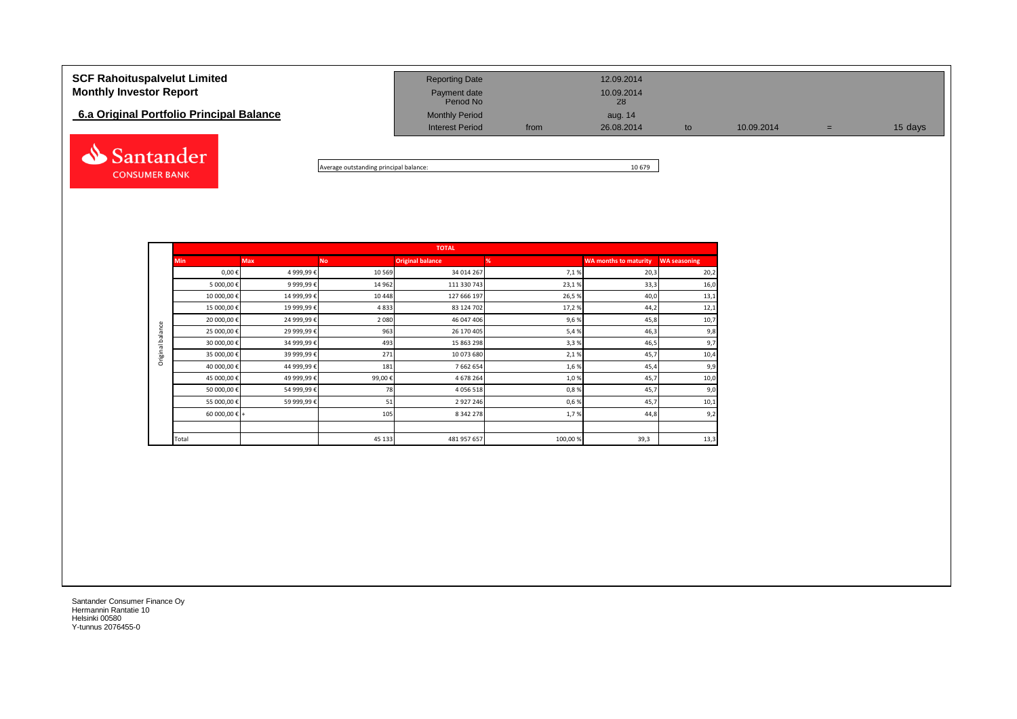## **SCF Rahoituspalvelut Limited Reporting Date** Reporting Date 12.09.2014 **Monthly Investor Report Payment date** Payment date Payment date 10.09.2014 Payment date<br>Period No **6.a Original Portfolio Principal Balance Monthly Period** Monthly Period aug. 14 Interest Period from 26.08.2014 to 10.09.2014 = 15 days Santander

Average outstanding principal balance: 10 679

|                  |               |            |           | <b>TOTAL</b>            |         |                              |                     |
|------------------|---------------|------------|-----------|-------------------------|---------|------------------------------|---------------------|
|                  | <b>Min</b>    | <b>Max</b> | <b>No</b> | <b>Original balance</b> | %       | <b>WA months to maturity</b> | <b>WA seasoning</b> |
|                  | $0,00 \in$    | 4 999,99€  | 10 5 69   | 34 014 267              | 7,1%    | 20,3                         | 20,2                |
|                  | 5 000,00 €    | 9 999,99€  | 14 962    | 111 330 743             | 23,1%   | 33,3                         | 16,0                |
|                  | 10 000,00€    | 14 999,99€ | 10 4 48   | 127 666 197             | 26,5%   | 40,0                         | 13,1                |
|                  | 15 000,00€    | 19 999,99€ | 4833      | 83 124 702              | 17,2%   | 44,2                         | 12,1                |
|                  | 20 000,00 €   | 24 999,99€ | 2 0 8 0   | 46 047 406              | 9,6%    | 45,8                         | 10,7                |
|                  | 25 000,00€    | 29 999,99€ | 963       | 26 170 405              | 5,4%    | 46,3                         | 9,8                 |
| Original balance | 30 000,00 €   | 34 999,99€ | 493       | 15 863 298              | 3,3%    | 46,5                         | 9,7                 |
|                  | 35 000,00 €   | 39 999,99€ | 271       | 10 073 680              | 2,1%    | 45,7                         | 10,4                |
|                  | 40 000,00 €   | 44 999,99€ | 181       | 7 662 654               | 1,6%    | 45,4                         | 9,9                 |
|                  | 45 000,00 €   | 49 999,99€ | 99,00€    | 4 678 264               | 1,0%    | 45,7                         | 10,0                |
|                  | 50 000,00 €   | 54 999,99€ | 78        | 4 0 5 6 5 1 8           | 0,8%    | 45,7                         | 9,0                 |
|                  | 55 000,00 €   | 59 999,99€ | 51        | 2 9 2 7 2 4 6           | 0,6%    | 45,7                         | 10,1                |
|                  | 60 000,00 € + |            | 105       | 8 3 4 2 2 7 8           | 1,7%    | 44,8                         | 9,2                 |
|                  |               |            |           |                         |         |                              |                     |
|                  | Total         |            | 45 133    | 481 957 657             | 100,00% | 39,3                         | 13,3                |

Santander Consumer Finance Oy Hermannin Rantatie 10 Helsinki 00580 Y-tunnus 2076455-0

**CONSUMER BANK**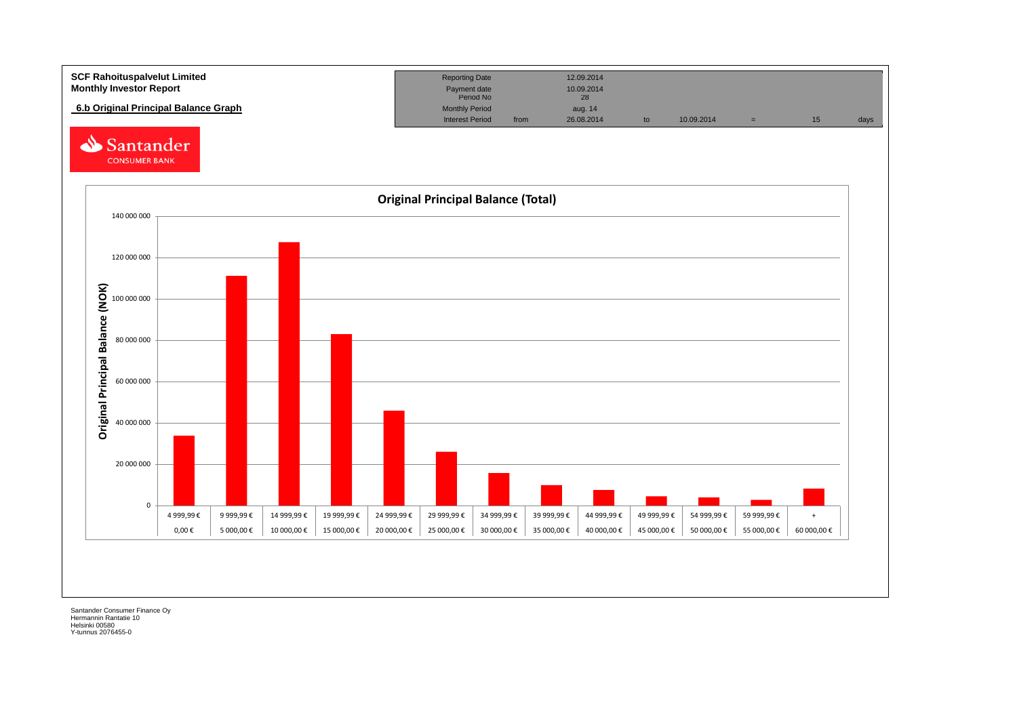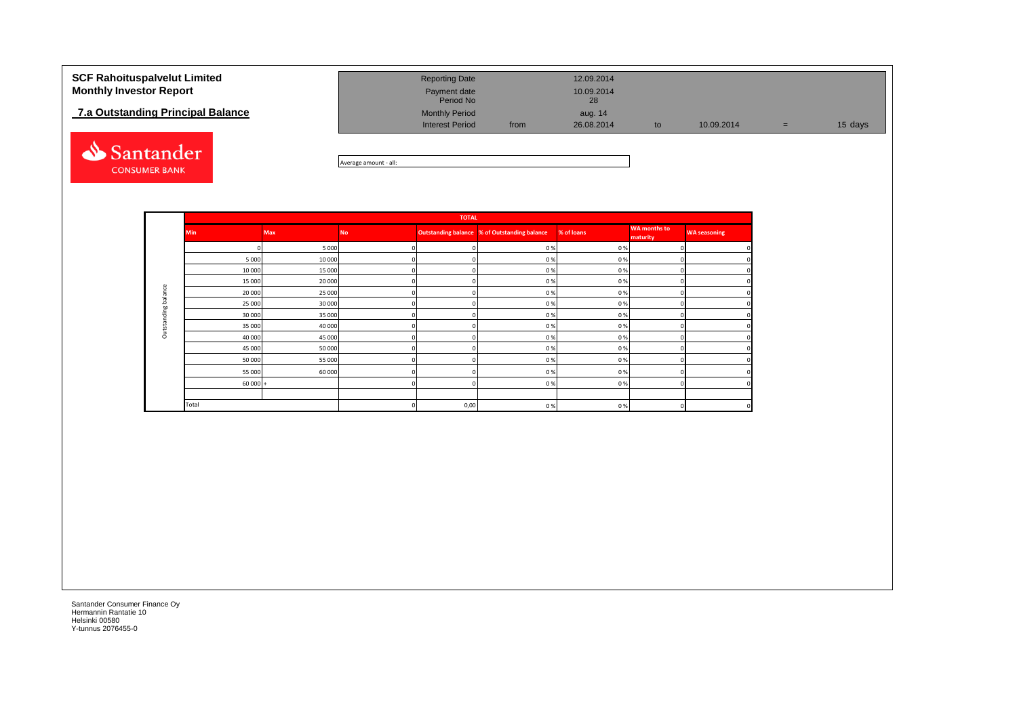## **7.a Outstanding Principal Balance**



| <b>SCF Rahoituspalvelut Limited</b><br><b>Monthly Investor Report</b> | <b>Reporting Date</b><br>Payment date           |      | 12.09.2014<br>10.09.2014 |    |            |     |         |
|-----------------------------------------------------------------------|-------------------------------------------------|------|--------------------------|----|------------|-----|---------|
|                                                                       | Period No                                       |      | 28                       |    |            |     |         |
| 7.a Outstanding Principal Balance                                     | <b>Monthly Period</b><br><b>Interest Period</b> | from | aug. 14<br>26.08.2014    | to | 10.09.2014 | $=$ | 15 days |
|                                                                       |                                                 |      |                          |    |            |     |         |

Average amount - all:

|                             |            |            |           | <b>TOTAL</b> |                                                     |            |                                 |                     |
|-----------------------------|------------|------------|-----------|--------------|-----------------------------------------------------|------------|---------------------------------|---------------------|
|                             | <b>Min</b> | <b>Max</b> | <b>No</b> |              | <b>Outstanding balance % of Outstanding balance</b> | % of loans | <b>WA</b> months to<br>maturity | <b>WA seasoning</b> |
|                             |            | 5 0 0 0    | $\Omega$  | $\Omega$     | 0%                                                  | 0%         |                                 | 0                   |
|                             | 5 0 0 0    | 10 000     | $\Omega$  | $\Omega$     | 0%                                                  | 0%         |                                 | 0                   |
|                             | 10 000     | 15 000     | $\Omega$  | $\Omega$     | 0%                                                  | 0%         |                                 | 0                   |
| ප                           | 15 000     | 20 000     | $\Omega$  | $\Omega$     | 0%                                                  | 0%         |                                 | 0                   |
| ċ<br>ala                    | 20 000     | 25 000     | $\Omega$  | $\mathbf 0$  | 0%                                                  | 0%         |                                 | 0                   |
| $\ddot{\circ}$<br><b>bo</b> | 25 000     | 30 000     | $\Omega$  | $\mathbf 0$  | 0%                                                  | 0%         |                                 | $\mathbf 0$         |
| έĩ                          | 30 000     | 35 000     | $\Omega$  | $\mathbf 0$  | 0%                                                  | 0%         |                                 | O                   |
| $\sigma$<br>₩               | 35 000     | 40 000     | 0         | $\Omega$     | 0%                                                  | 0%         |                                 | 0                   |
| ă                           | 40 000     | 45 000     | 0         | 0            | 0%                                                  | 0%         |                                 | 0                   |
|                             | 45 000     | 50 000     | 0         | $\mathbf 0$  | 0%                                                  | 0%         |                                 | 0                   |
|                             | 50 000     | 55 000     | 0         | $\Omega$     | 0%                                                  | 0%         |                                 | O                   |
|                             | 55 000     | 60 000     | n         | $\Omega$     | 0%                                                  | 0%         |                                 | 0                   |
|                             | $60000 +$  |            | 0         | $\Omega$     | 0%                                                  | 0%         |                                 | $\Omega$            |
|                             |            |            |           |              |                                                     |            |                                 |                     |
|                             | Total      |            | $\Omega$  | 0,00         | 0%                                                  | 0%         |                                 | 0                   |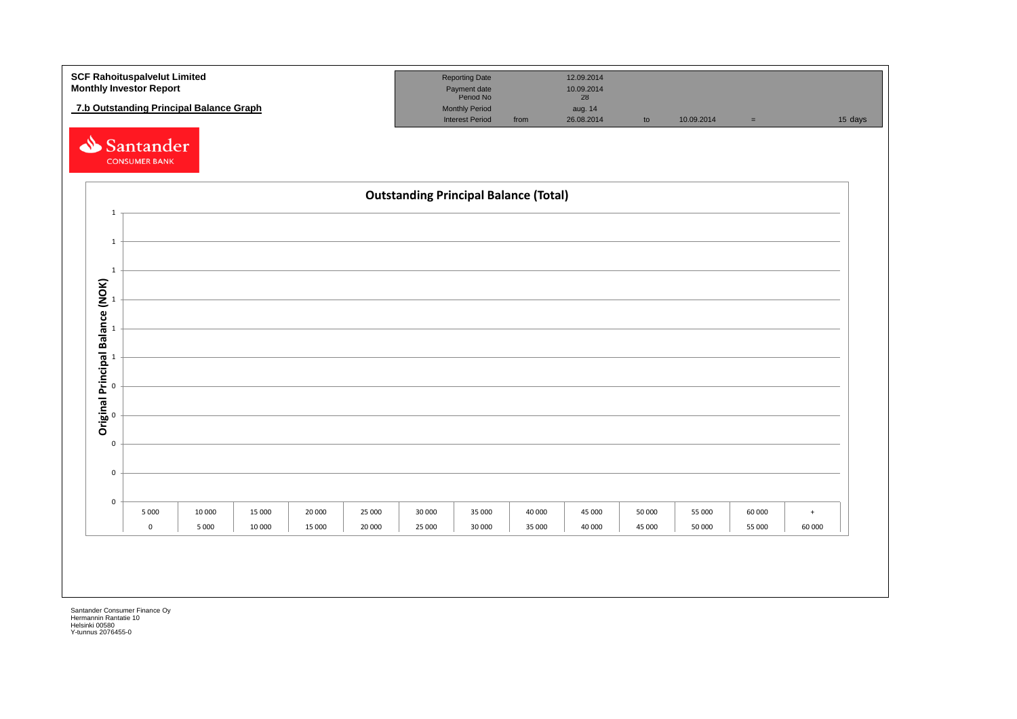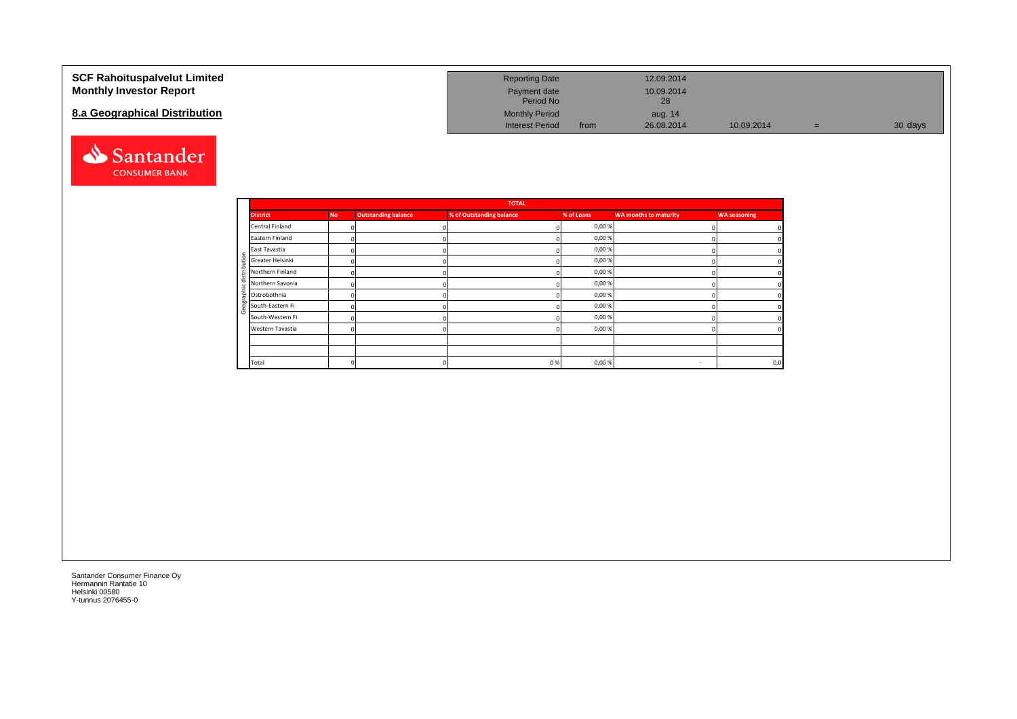### **SCF Rahoituspalvelut Limited Monthly Investor Report**

## **8.a Geographical Distribution**



| <b>Reporting Date</b>     |      | 12.09.2014       |            |     |         |
|---------------------------|------|------------------|------------|-----|---------|
| Payment date<br>Period No |      | 10.09.2014<br>28 |            |     |         |
| <b>Monthly Period</b>     |      | aug. 14          |            |     |         |
| Interest Period           | from | 26.08.2014       | 10.09.2014 | $=$ | 30 days |

|                       |           |                            | <b>TOTAL</b>             |            |                              |                     |
|-----------------------|-----------|----------------------------|--------------------------|------------|------------------------------|---------------------|
| <b>District</b>       | <b>No</b> | <b>Outstanding balance</b> | % of Outstanding balance | % of Loans | <b>WA months to maturity</b> | <b>WA seasoning</b> |
| Central Finland       | $\Omega$  |                            |                          | 0,00%      |                              |                     |
| Eastern Finland       |           |                            |                          | 0,00%      |                              |                     |
| East Tavastia         |           |                            |                          | 0,00%      |                              |                     |
| Greater Helsinki<br>÷ |           |                            |                          | 0,00%      |                              |                     |
| Northern Finland      |           |                            |                          | 0,00%      |                              |                     |
| Northern Savonia      |           |                            |                          | 0,00%      |                              |                     |
| 휴 Ostrobothnia        |           |                            |                          | 0,00%      |                              |                     |
| South-Eastern Fi      |           |                            |                          | 0,00%      |                              |                     |
| South-Western Fi      |           |                            |                          | 0,00%      |                              |                     |
| Western Tavastia      |           |                            |                          | 0,00%      |                              | C                   |
|                       |           |                            |                          |            |                              |                     |
|                       |           |                            |                          |            |                              |                     |
| Total                 |           |                            | 0%                       | 0,00%      | $\sim$                       | 0,0                 |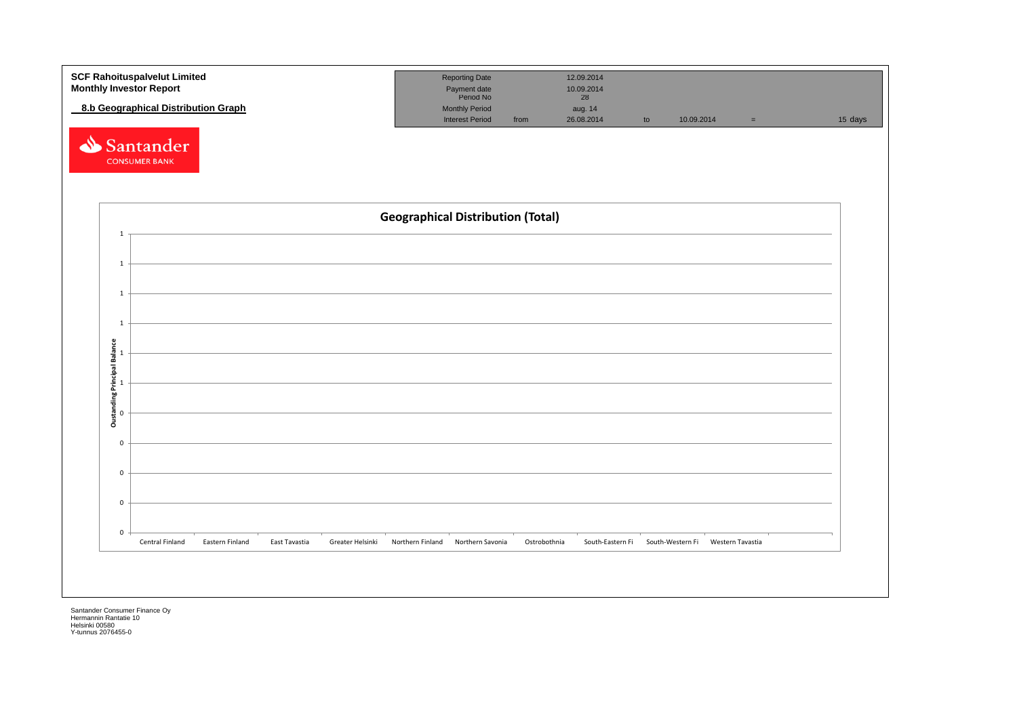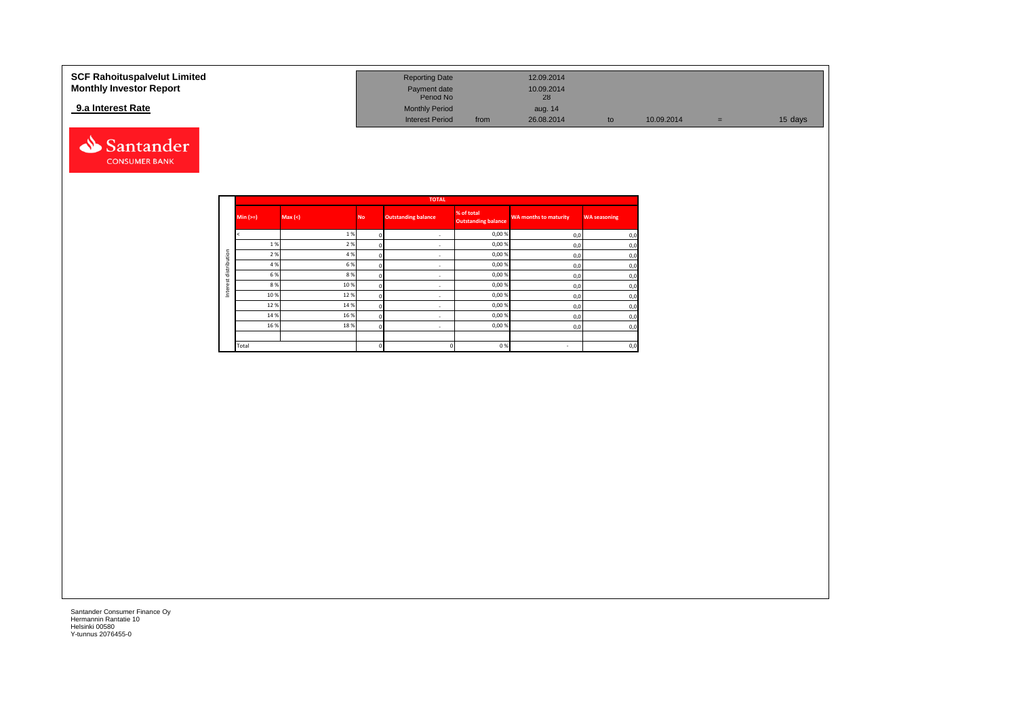### **9.a Interest Rate**



| SCF Rahoituspalvelut Limited   | <b>Reporting Date</b>     |      | 12.09.2014 |            |     |         |
|--------------------------------|---------------------------|------|------------|------------|-----|---------|
| <b>Monthly Investor Report</b> | Payment date<br>Period No |      | 10.09.2014 |            |     |         |
| 9.a Interest Rate              | <b>Monthly Period</b>     |      | aug. 14    |            |     |         |
|                                | <b>Interest Period</b>    | from | 26.08.2014 | 10.09.2014 | $=$ | 15 days |

|             |         |           | <b>TOTAL</b>               |                                          |                              |                     |
|-------------|---------|-----------|----------------------------|------------------------------------------|------------------------------|---------------------|
| $Min (=)=)$ | Max (<) | <b>No</b> | <b>Outstanding balance</b> | % of total<br><b>Outstanding balance</b> | <b>WA months to maturity</b> | <b>WA seasoning</b> |
|             | 1%      |           | ٠                          | 0,00%                                    | 0,0                          | 0,0                 |
| 1%          | 2%      |           | $\overline{\phantom{a}}$   | 0,00%                                    | 0,0                          | 0,0                 |
| 2 %         | 4 %     |           | ٠                          | 0,00%                                    | 0,0                          | 0,0                 |
| 4 %         | 6 %     |           | ٠                          | 0,00%                                    | 0,0                          | 0,0                 |
| 6 %         | 8%      |           | ٠                          | 0,00%                                    | 0,0                          | 0,0                 |
| 8 %         | 10%     |           | ٠                          | 0,00%                                    | 0,0                          | 0,0                 |
| 10%         | 12%     |           | ٠                          | 0,00%                                    | 0,0                          | 0,0                 |
| 12%         | 14 %    |           | ٠                          | 0,00%                                    | 0,0                          | 0,0                 |
| 14 %        | 16 %    |           | $\overline{\phantom{a}}$   | 0,00%                                    | 0,0                          | 0,0                 |
| 16 %        | 18%     |           | ٠                          | 0,00%                                    | 0,0                          | 0,0                 |
|             |         |           |                            |                                          |                              |                     |
| Total       |         |           |                            | 0%                                       | $\sim$                       | 0,0                 |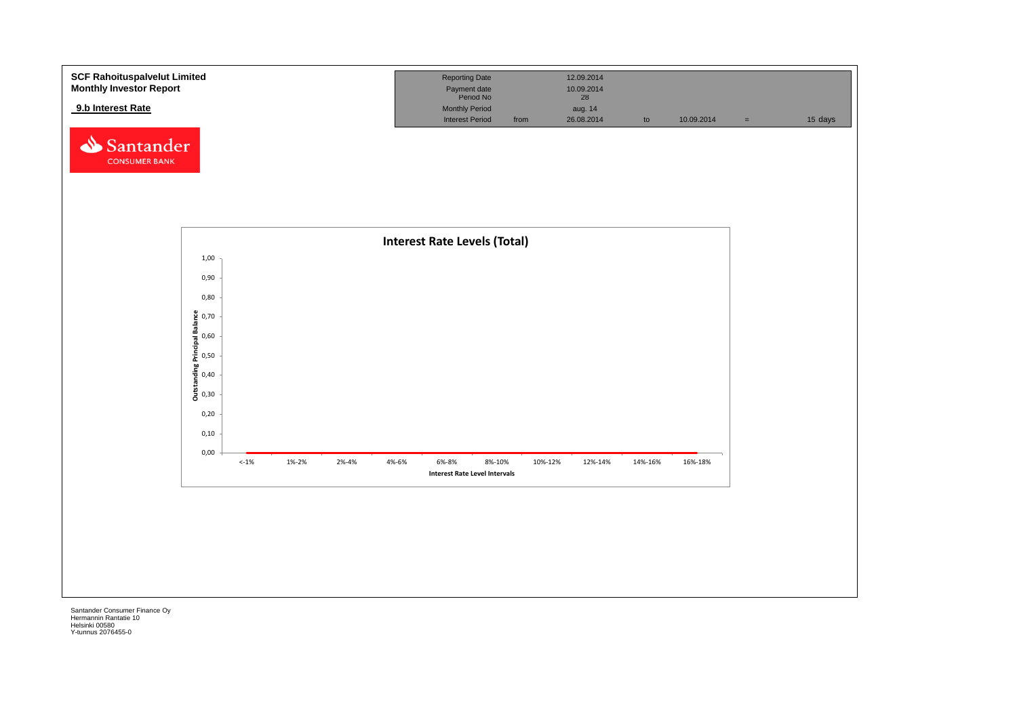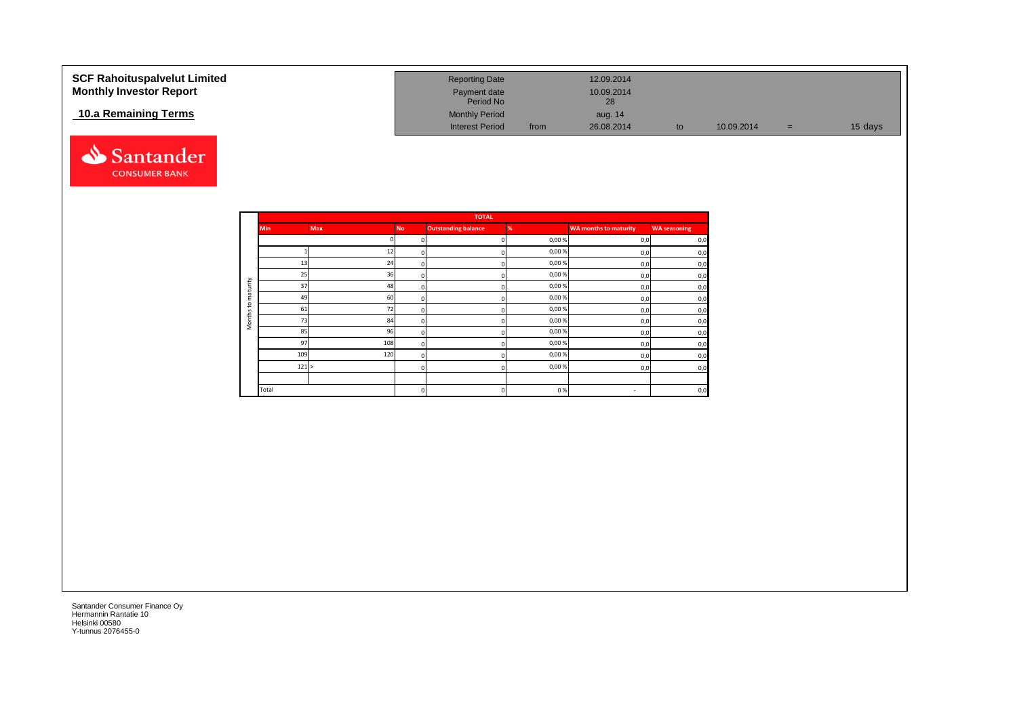| <b>SCF Rahoituspalvelut Limited</b> | <b>Reporting Date</b>     |      | 12.09.2014       |    |            |     |         |
|-------------------------------------|---------------------------|------|------------------|----|------------|-----|---------|
| <b>Monthly Investor Report</b>      | Payment date<br>Period No |      | 10.09.2014<br>28 |    |            |     |         |
| 10.a Remaining Terms                | <b>Monthly Period</b>     |      | aug. 14          |    |            |     |         |
|                                     | <b>Interest Period</b>    | from | 26.08.2014       | to | 10.09.2014 | $=$ | 15 days |



|          |            |            |           | <b>TOTAL</b>               |       |                              |                     |
|----------|------------|------------|-----------|----------------------------|-------|------------------------------|---------------------|
|          | <b>Min</b> | <b>Max</b> | <b>No</b> | <b>Outstanding balance</b> | %     | <b>WA months to maturity</b> | <b>WA seasoning</b> |
|          |            |            |           | $\Omega$                   | 0,00% | 0,0                          | 0,0                 |
|          |            | 12         |           | $\Omega$                   | 0,00% | 0,0                          | 0,0                 |
|          | 13         | 24         |           | $\Omega$                   | 0,00% | 0,0                          | 0,0                 |
|          | 25         | 36         |           | $\Omega$                   | 0,00% | 0,0                          | 0,0                 |
| maturity | 37         | 48         |           | $\mathbf 0$                | 0,00% | 0,0                          | 0,0                 |
|          | 49         | 60         |           | $\mathbf 0$                | 0,00% | 0,0                          | 0,0                 |
| 5        | 61         | 72         | n         | $\mathbf 0$                | 0,00% | 0,0                          | 0,0                 |
| Months   | 73         | 84         | n         | $\Omega$                   | 0,00% | 0,0                          | 0,0                 |
|          | 85         | 96         |           | $\Omega$                   | 0,00% | 0,0                          | 0,0                 |
|          | 97         | 108        |           | $\Omega$                   | 0,00% | 0,0                          | 0,0                 |
|          | 109        | 120        |           | n                          | 0,00% | 0,0                          | 0,0                 |
|          | 121 >      |            |           | $\Omega$                   | 0,00% | 0,0                          | 0,0                 |
|          |            |            |           |                            |       |                              |                     |
|          | Total      |            | n         | $\mathbf 0$                | 0%    | $\sim$                       | 0,0                 |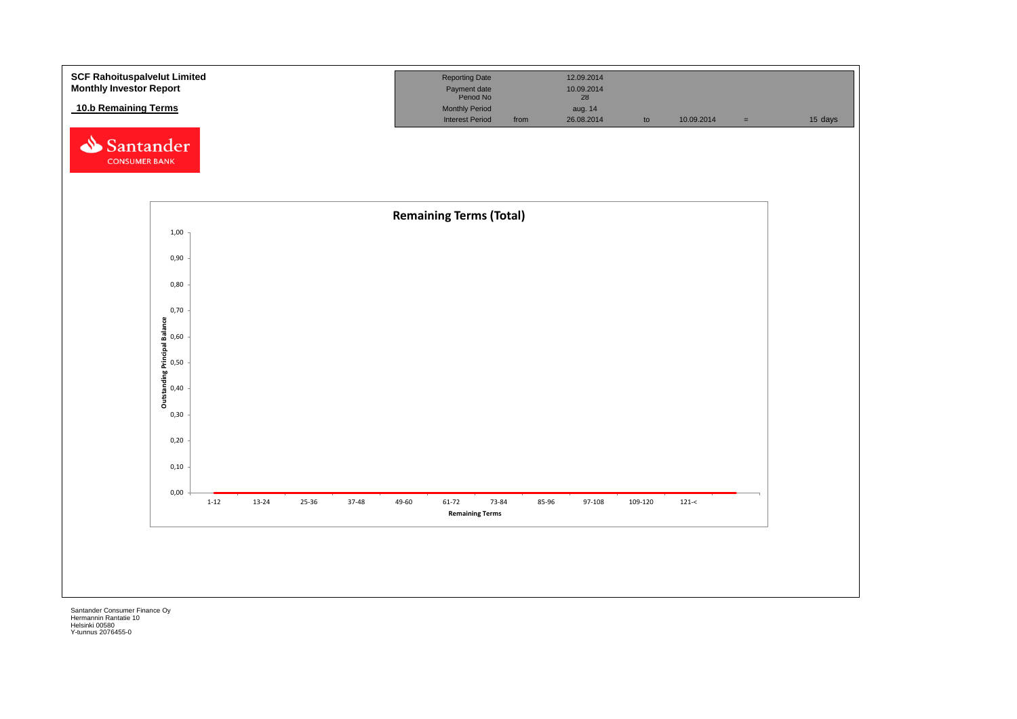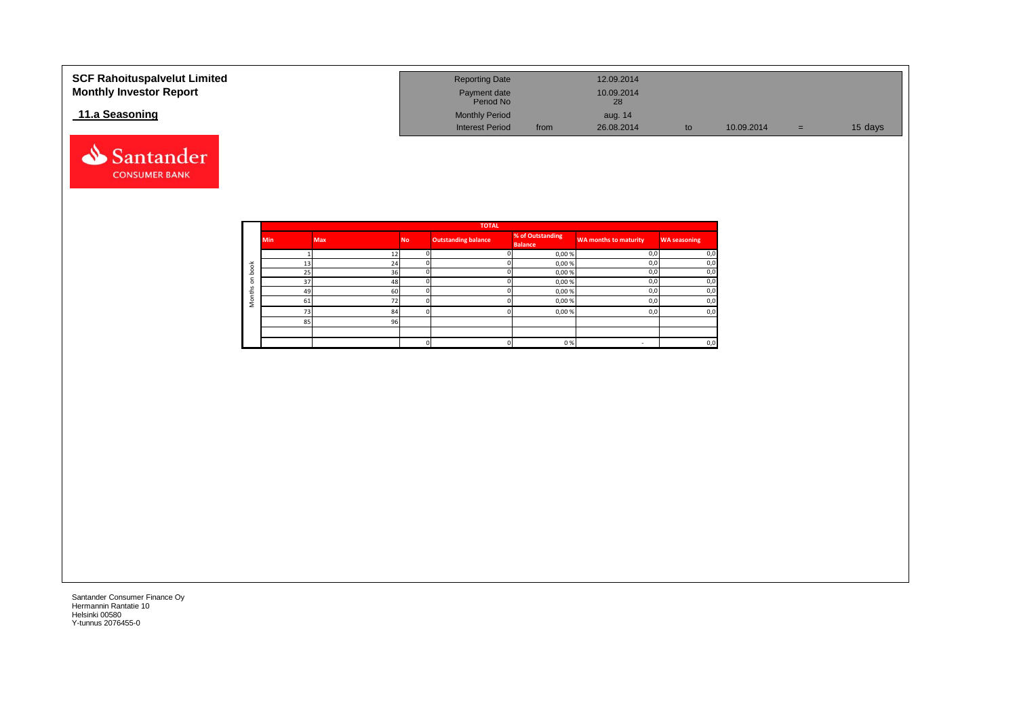| <b>SCF Rahoituspalvelut Limited</b><br><b>Monthly Investor Report</b> | <b>Reporting Date</b><br>Payment date<br>Period No |      | 12.09.2014<br>10.09.2014<br>28 |    |            |     |         |
|-----------------------------------------------------------------------|----------------------------------------------------|------|--------------------------------|----|------------|-----|---------|
| 11.a Seasoning                                                        | <b>Monthly Period</b>                              |      | aug. 14                        |    |            |     |         |
|                                                                       | <b>Interest Period</b>                             | from | 26.08.2014                     | to | 10.09.2014 | $=$ | 15 days |

**WA months to maturity WA seasoning**

0 0 0 % - 0,0



**85-96** 85 96

**1 73 84** 0 **0** 0,00% 0,0 0,0 0,0

Santander Consumer Finance Oy Hermannin Rantatie 10 Helsinki 00580 Y-tunnus 2076455-0

Santander **CONSUMER BANK**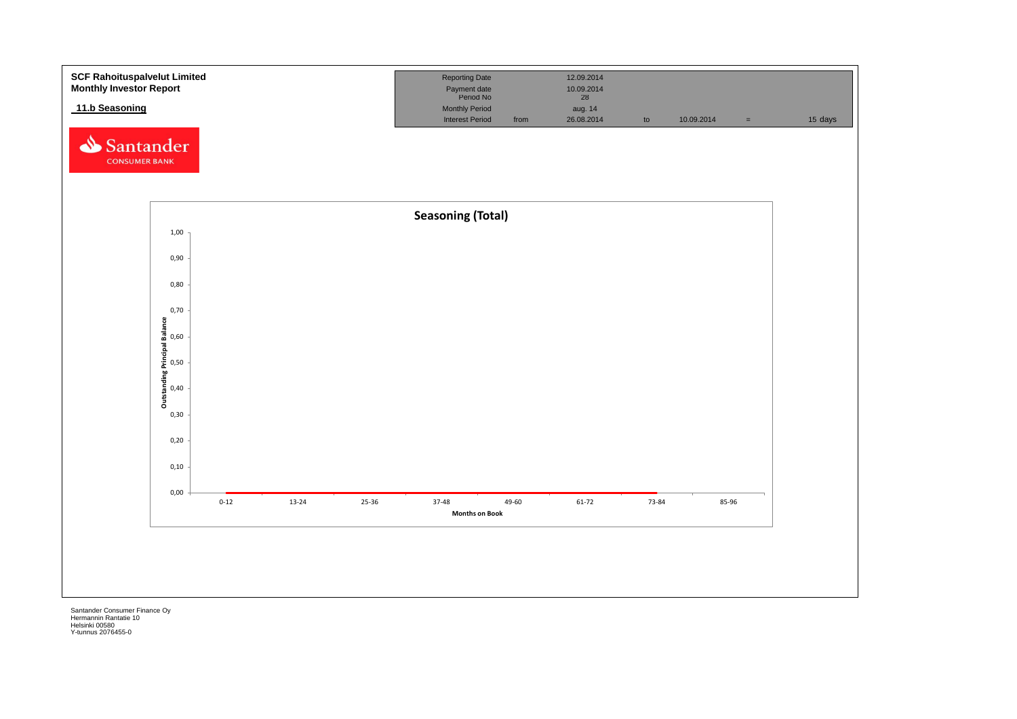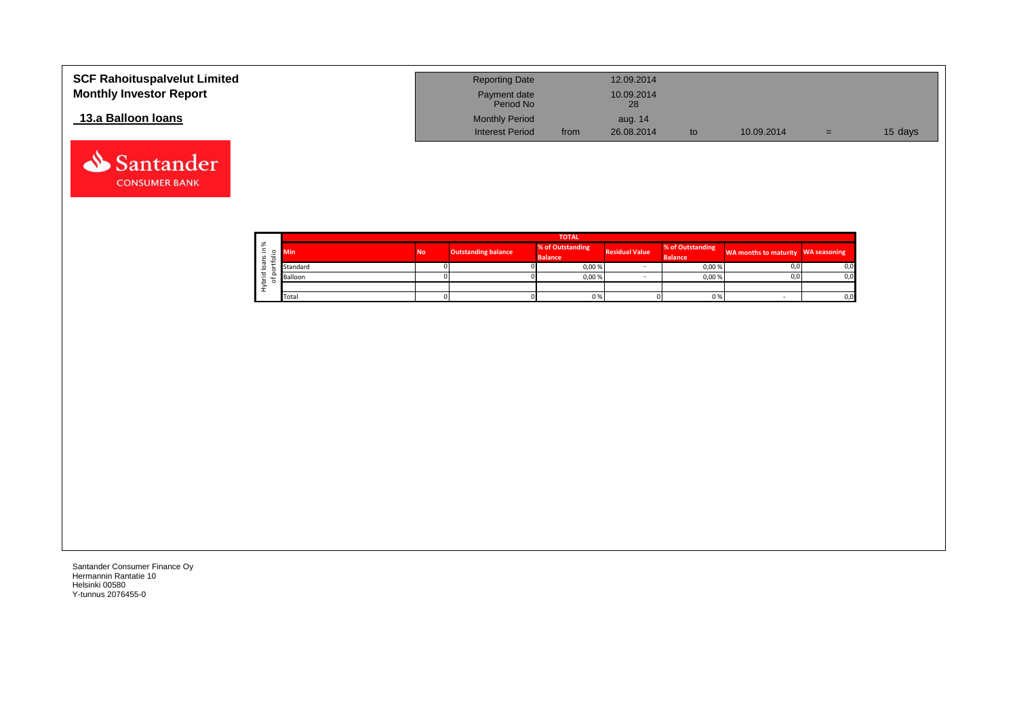| <b>SCF Rahoituspalvelut Limited</b><br><b>Monthly Investor Report</b> | <b>Reporting Date</b><br>Payment date<br>Period No |      | 12.09.2014<br>10.09.2014<br>28 |    |            |     |         |
|-----------------------------------------------------------------------|----------------------------------------------------|------|--------------------------------|----|------------|-----|---------|
| 13.a Balloon Ioans                                                    | <b>Monthly Period</b><br><b>Interest Period</b>    | from | aug. 14<br>26.08.2014          | to | 10.09.2014 | $=$ | 15 days |

|                        | <b>TOTAL</b> |           |                            |                  |                       |                  |                                    |     |  |  |  |
|------------------------|--------------|-----------|----------------------------|------------------|-----------------------|------------------|------------------------------------|-----|--|--|--|
| $\sim$<br>∝<br>$\circ$ | Min'         | <b>No</b> | <b>Outstanding balance</b> | % of Outstanding | <b>Residual Value</b> | % of Outstanding | WA months to maturity WA seasoning |     |  |  |  |
|                        |              |           |                            | <b>Balance</b>   |                       | <b>Balance</b>   |                                    |     |  |  |  |
|                        | Standard     |           |                            | 0,00%            |                       | 0,00%            | 0,0                                | 0,0 |  |  |  |
| ᄒ                      | Balloon      |           |                            | 0,00%            |                       | 0,00%            | 0,0                                | 0,0 |  |  |  |
|                        |              |           |                            |                  |                       |                  |                                    |     |  |  |  |
|                        | Total        |           |                            | 0%               |                       | 0%               |                                    | 0,0 |  |  |  |

Santander **CONSUMER BANK**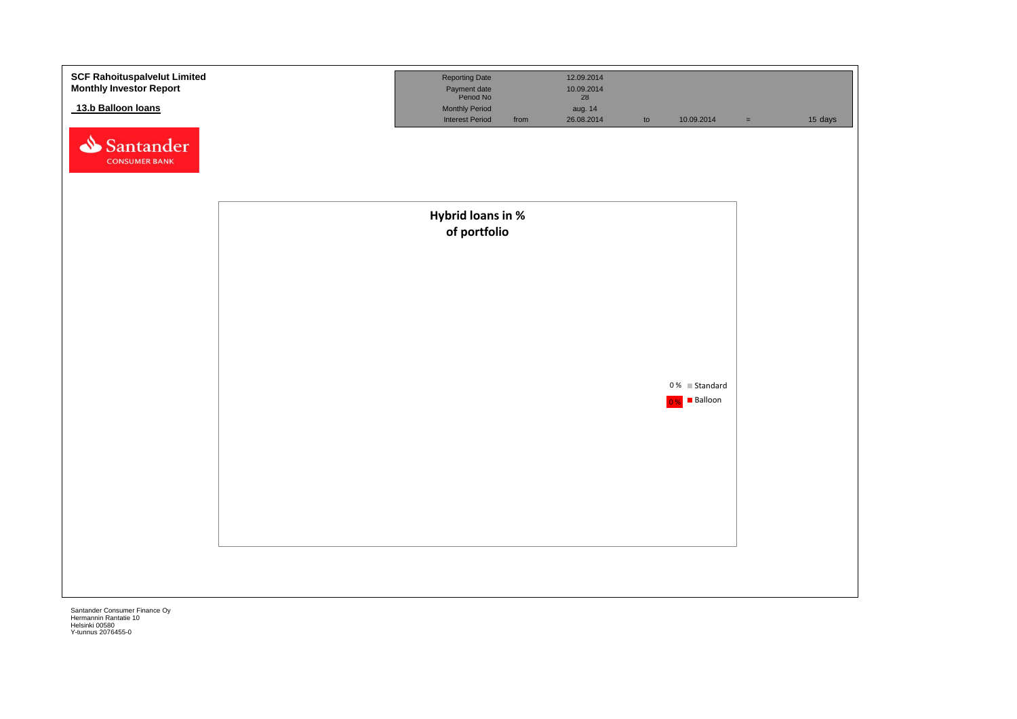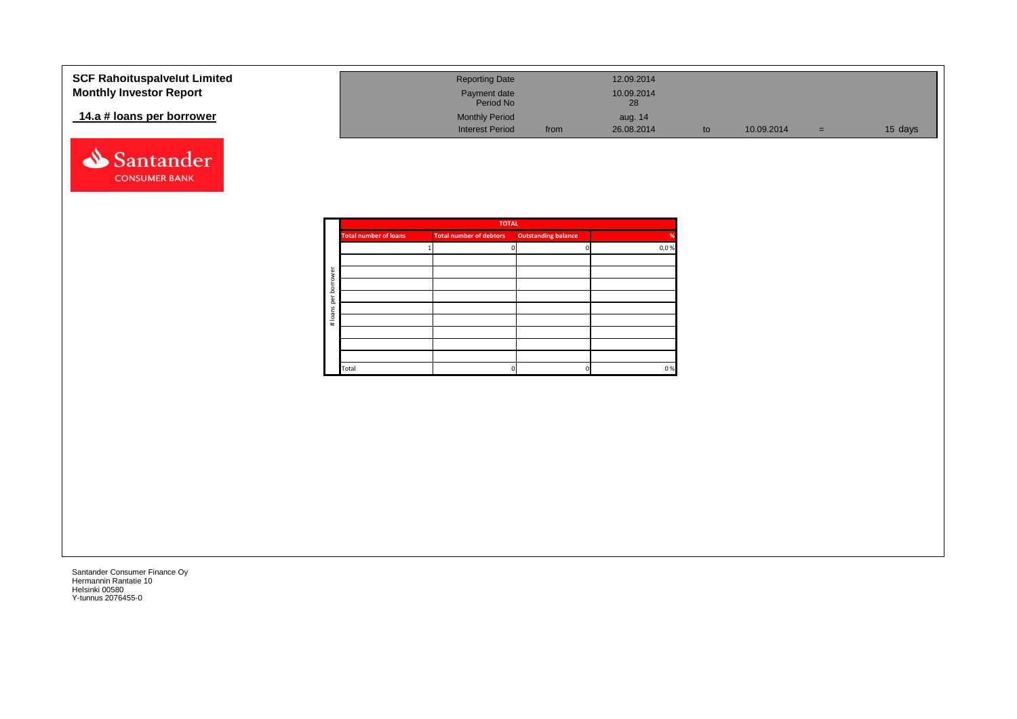| <b>SCF Rahoituspalvelut Limited</b> | <b>Reporting Date</b>     |      | 12.09.2014       |    |            |     |         |
|-------------------------------------|---------------------------|------|------------------|----|------------|-----|---------|
| <b>Monthly Investor Report</b>      | Payment date<br>Period No |      | 10.09.2014<br>28 |    |            |     |         |
| 14.a # loans per borrower           | <b>Monthly Period</b>     |      | aug. 14          |    |            |     |         |
|                                     | <b>Interest Period</b>    | from | 26.08.2014       | to | 10.09.2014 | $=$ | 15 days |



|      |                            | <b>TOTAL</b>                   |                              |                 |
|------|----------------------------|--------------------------------|------------------------------|-----------------|
| %    | <b>Outstanding balance</b> | <b>Total number of debtors</b> | <b>Total number of loans</b> |                 |
| 0,0% |                            |                                |                              |                 |
|      |                            |                                |                              |                 |
|      |                            |                                |                              | rower           |
|      |                            |                                |                              | bor             |
|      |                            |                                |                              | ēr              |
|      |                            |                                |                              |                 |
|      |                            |                                |                              | loans<br>$\ast$ |
|      |                            |                                |                              |                 |
|      |                            |                                |                              |                 |
|      |                            |                                |                              |                 |
| 0%   |                            | 0                              | Total                        |                 |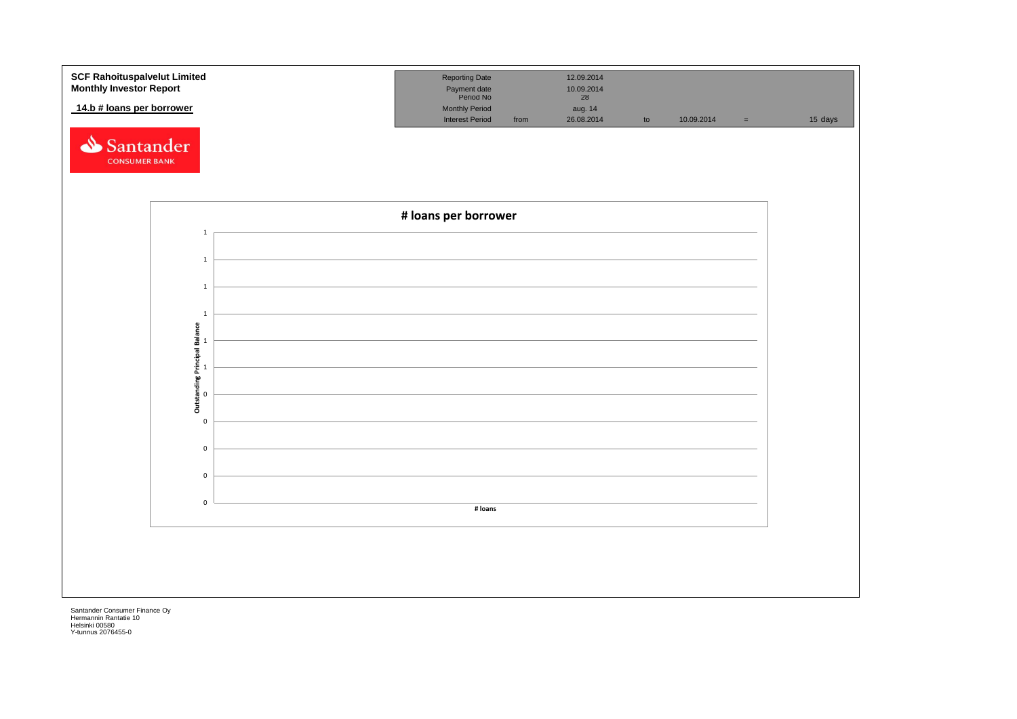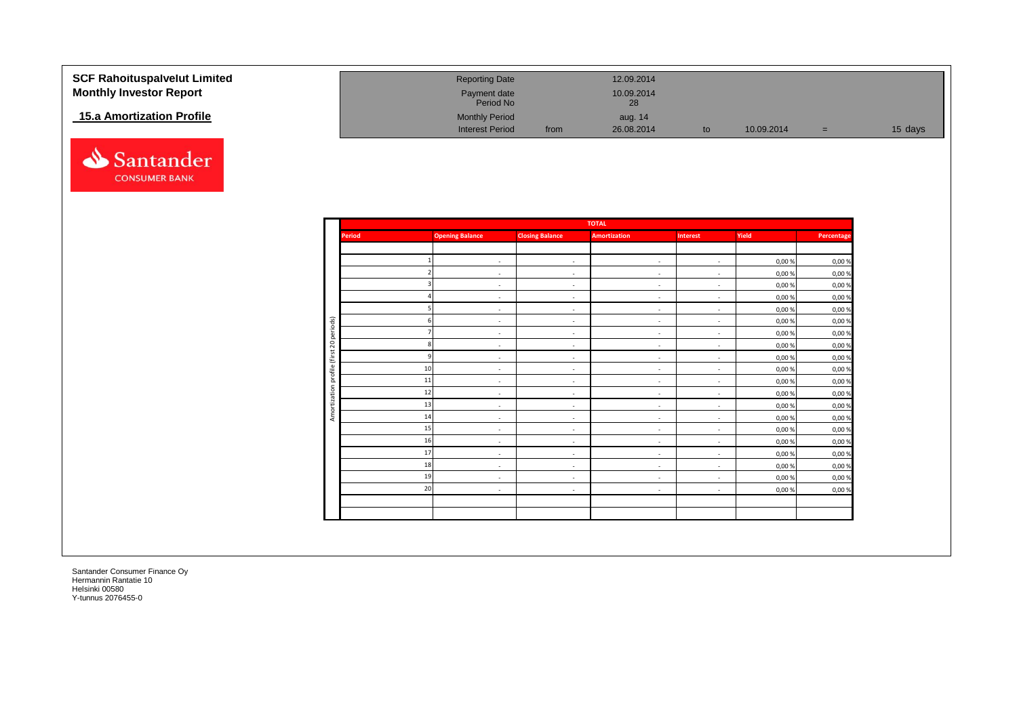| <b>SCF Rahoituspalvelut Limited</b> | <b>Reporting Date</b>     |      | 12.09.2014       |            |     |         |
|-------------------------------------|---------------------------|------|------------------|------------|-----|---------|
| <b>Monthly Investor Report</b>      | Payment date<br>Period No |      | 10.09.2014<br>28 |            |     |         |
| <b>15.a Amortization Profile</b>    | <b>Monthly Period</b>     |      | aug. 14          |            |     |         |
|                                     | <b>Interest Period</b>    | from | 26.08.2014       | 10.09.2014 | $=$ | 15 days |



|               |                          |                          | <b>TOTAL</b>             |                          |        |            |
|---------------|--------------------------|--------------------------|--------------------------|--------------------------|--------|------------|
| <b>Period</b> | <b>Opening Balance</b>   | <b>Closing Balance</b>   | <b>Amortization</b>      | <b>Interest</b>          | Yield  | Percentage |
|               |                          |                          |                          |                          |        |            |
|               | $\sim$                   | $\sim$                   | $\overline{\phantom{a}}$ | $\sim$                   | 0,00 % | 0,00%      |
|               | $\sim$                   | $\sim$                   | $\sim$                   | $\sim$                   | 0,00 % | 0,00%      |
|               | $\sim$                   | $\sim$                   | $\sim$                   | $\sim$                   | 0,00%  | 0,00%      |
|               | $\sim$                   | $\sim$                   | $\sim$                   | $\sim$                   | 0,00 % | 0,00%      |
|               | $\sim$                   | $\sim$                   | $\sim$                   | $\sim$                   | 0,00 % | 0,00%      |
|               | $\sim$                   | $\sim$                   | $\sim$                   | $\sim$                   | 0,00 % | 0,00%      |
|               | ٠                        | $\sim$                   | $\sim$                   | $\overline{\phantom{a}}$ | 0,00 % | 0,00%      |
|               | $\sim$                   | $\sim$                   | $\sim$                   | $\sim$                   | 0,00 % | 0,00%      |
|               | $\sim$                   | $\sim$                   | $\overline{\phantom{a}}$ | $\sim$                   | 0,00 % | 0,00%      |
| 10            | $\overline{\phantom{a}}$ | $\sim$                   | $\sim$                   | $\overline{\phantom{a}}$ | 0,00%  | 0,00%      |
| 11            | ٠                        | $\sim$                   | $\sim$                   | $\overline{\phantom{a}}$ | 0,00 % | 0,00%      |
| 12            | $\sim$                   | $\sim$                   | $\sim$                   | $\overline{\phantom{a}}$ | 0,00 % | 0,00%      |
| 13            | $\sim$                   | $\sim$                   | $\sim$                   | $\overline{\phantom{a}}$ | 0,00 % | 0,00%      |
| 14            | $\sim$                   | $\sim$                   | $\sim$                   | $\overline{\phantom{a}}$ | 0,00 % | 0,00%      |
| 15            | $\sim$                   | $\overline{\phantom{a}}$ | $\sim$                   | $\overline{\phantom{a}}$ | 0,00%  | 0,00%      |
| 16            | $\sim$                   | $\sim$                   | $\sim$                   | $\sim$                   | 0,00 % | 0,00%      |
| 17            | $\sim$                   | $\sim$                   | $\sim$                   | $\sim$                   | 0,00 % | 0,00%      |
| 18            | ٠                        | $\sim$                   | $\sim$                   | $\overline{\phantom{a}}$ | 0,00 % | 0,00%      |
| 19            | $\sim$                   | $\sim$                   | $\sim$                   | $\sim$                   | 0,00 % | 0,00%      |
| 20            | $\sim$                   | $\sim$                   | $\sim$                   | $\sim$                   | 0,00%  | 0,00%      |
|               |                          |                          |                          |                          |        |            |
|               |                          |                          |                          |                          |        |            |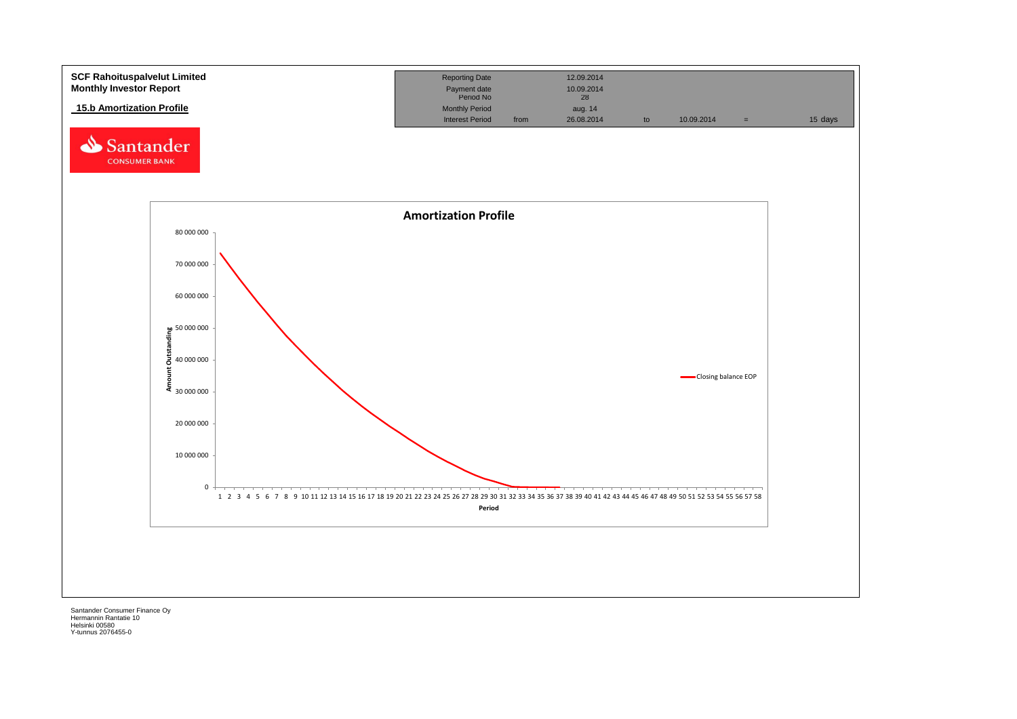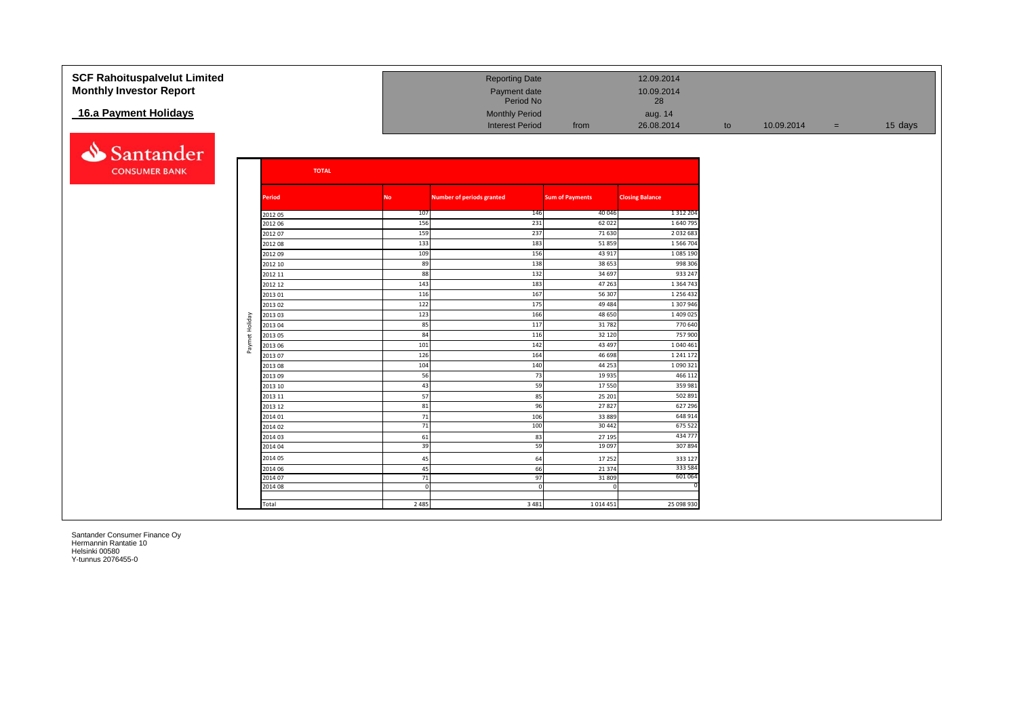| <b>SCF Rahoituspalvelut Limited</b><br><b>Monthly Investor Report</b> |                |                    |           | <b>Reporting Date</b><br>Payment date<br>Period No |                        | 12.09.2014<br>10.09.2014<br>28 |    |            |     |         |
|-----------------------------------------------------------------------|----------------|--------------------|-----------|----------------------------------------------------|------------------------|--------------------------------|----|------------|-----|---------|
| 16.a Payment Holidays                                                 |                |                    |           | <b>Monthly Period</b><br><b>Interest Period</b>    | from                   | aug. 14<br>26.08.2014          | to | 10.09.2014 | $=$ | 15 days |
| Santander                                                             |                |                    |           |                                                    |                        |                                |    |            |     |         |
| <b>CONSUMER BANK</b>                                                  |                | <b>TOTAL</b>       |           |                                                    |                        |                                |    |            |     |         |
|                                                                       |                | <b>Period</b>      | No        | Number of periods granted                          | <b>Sum of Payments</b> | <b>Closing Balance</b>         |    |            |     |         |
|                                                                       |                | 2012 05            | 107       | 146                                                | 40 046                 | 1 3 1 2 2 0 4                  |    |            |     |         |
|                                                                       |                | 2012 06            | 156       | 231                                                | 62 022                 | 1 640 79                       |    |            |     |         |
|                                                                       |                | 2012 07            | 159       | 237                                                | 71 630                 | 2 0 3 2 6 8 3                  |    |            |     |         |
|                                                                       |                | 2012 08            | 133       | 183                                                | 51859                  | 1 566 704                      |    |            |     |         |
|                                                                       |                | 2012 09            | 109       | 156                                                | 43 917                 | 1 085 190                      |    |            |     |         |
|                                                                       |                | 2012 10            | 89        | 138                                                | 38 653                 | 998 306                        |    |            |     |         |
|                                                                       |                | 2012 11            | 88        | 132                                                | 34 697                 | 933 247                        |    |            |     |         |
|                                                                       |                | 2012 12            | 143       | 183                                                | 47 263                 | 1 3 6 4 7 4                    |    |            |     |         |
|                                                                       |                | 201301             | 116       | 167                                                | 56 307                 | 1 2 5 6 4 3 2                  |    |            |     |         |
|                                                                       |                | 2013 02            | 122       | 175                                                | 49 4 84                | 1 307 946                      |    |            |     |         |
|                                                                       |                | 2013 03            | 123<br>85 | 166<br>117                                         | 48 650<br>31782        | 1 409 025<br>770 640           |    |            |     |         |
|                                                                       | Paymet Holiday | 2013 04<br>2013 05 | 84        | 116                                                | 32 120                 | 757 900                        |    |            |     |         |
|                                                                       |                | 2013 06            | 101       | 142                                                | 43 497                 | 1 040 461                      |    |            |     |         |
|                                                                       |                | 2013 07            | 126       | 164                                                | 46 698                 | 1 241 172                      |    |            |     |         |
|                                                                       |                | 2013 08            | 104       | 140                                                | 44 25 3                | 1 0 9 0 3 2                    |    |            |     |         |
|                                                                       |                | 201309             | 56        | 73                                                 | 19 9 35                | 466 11                         |    |            |     |         |
|                                                                       |                | 2013 10            | 43        | 59                                                 | 17550                  | 359 981                        |    |            |     |         |
|                                                                       |                | 2013 11            | 57        | 85                                                 | 25 201                 | 502 891                        |    |            |     |         |
|                                                                       |                | 2013 12            | 81        | 96                                                 | 27827                  | 627 296                        |    |            |     |         |
|                                                                       |                | 2014 01            | 71        | 106                                                | 33 889                 | 648 914                        |    |            |     |         |
|                                                                       |                | 2014 02            | 71        | 100                                                | 30 442                 | 675 522                        |    |            |     |         |
|                                                                       |                | 2014 03            | 61        | 83                                                 | 27 195                 | 434 777                        |    |            |     |         |
|                                                                       |                | 2014 04            | 39        | 59                                                 | 19 097                 | 307894                         |    |            |     |         |
|                                                                       |                | 2014 05            | 45        | 64                                                 | 17 25 2                | 333 127                        |    |            |     |         |
|                                                                       |                | 2014 06            | 45        | 66                                                 | 21 3 7 4               | 333 584                        |    |            |     |         |
|                                                                       |                | 2014 07            | 71        | 97                                                 | 31 809                 | 601 064                        |    |            |     |         |
|                                                                       |                | 2014 08            |           |                                                    | $\Omega$               |                                |    |            |     |         |
|                                                                       |                | Total              | 2 4 8 5   | 3 4 8 1                                            | 1014451                | 25 098 930                     |    |            |     |         |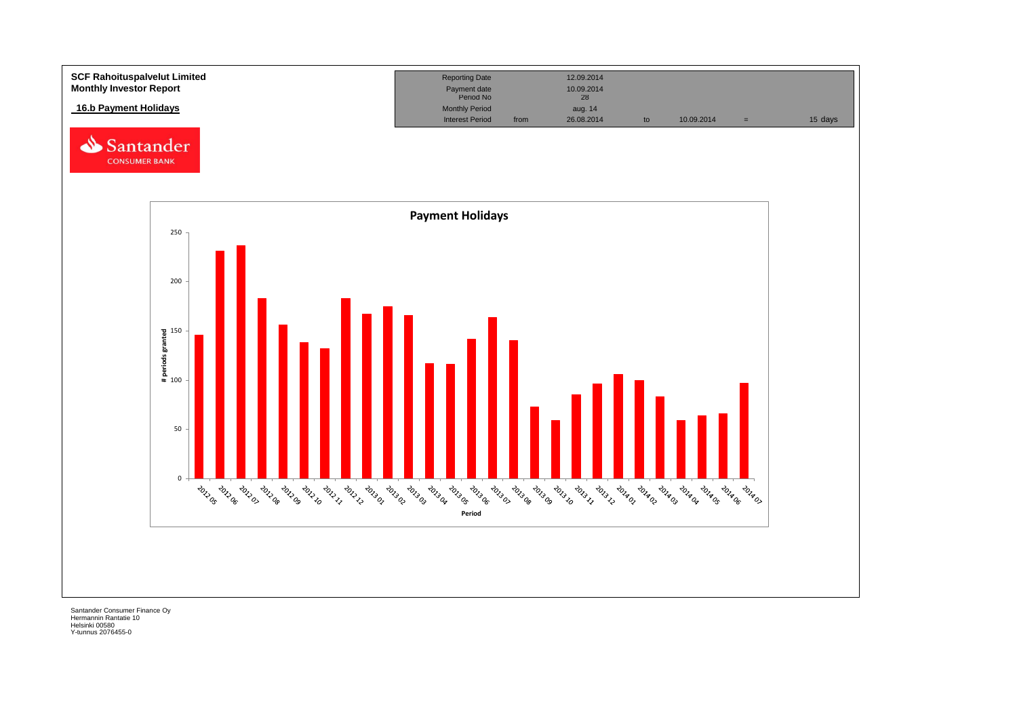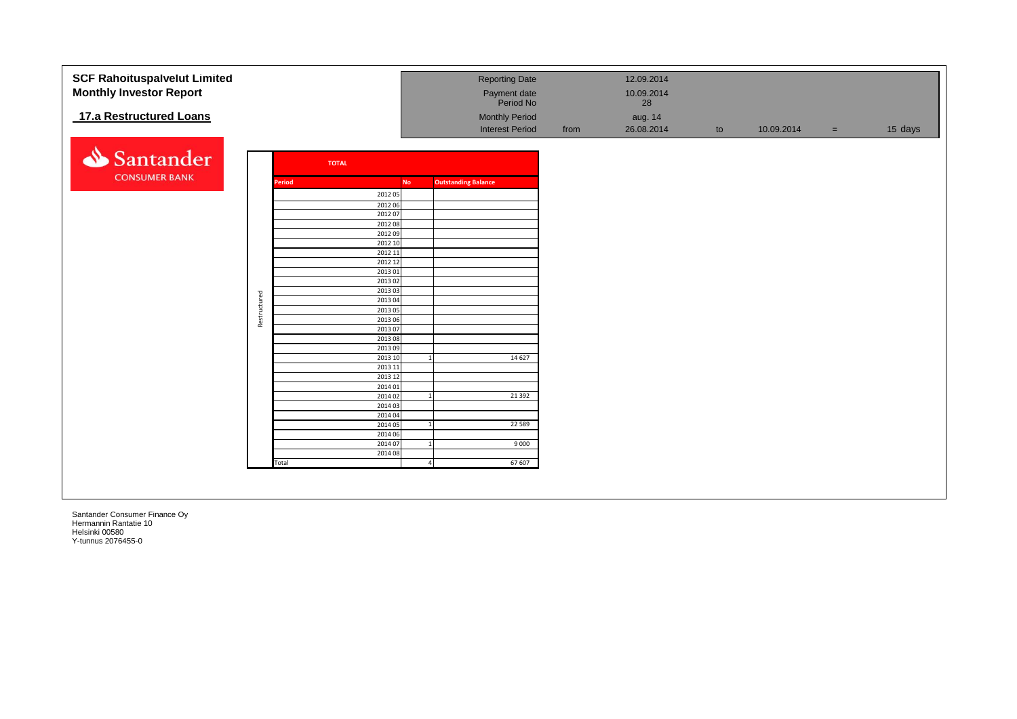| <b>SCF Rahoituspalvelut Limited</b> |              |        |              |                    |                |                            | <b>Reporting Date</b>     |      | 12.09.2014       |    |            |          |         |
|-------------------------------------|--------------|--------|--------------|--------------------|----------------|----------------------------|---------------------------|------|------------------|----|------------|----------|---------|
|                                     |              |        |              |                    |                |                            |                           |      |                  |    |            |          |         |
| <b>Monthly Investor Report</b>      |              |        |              |                    |                |                            | Payment date<br>Period No |      | 10.09.2014<br>28 |    |            |          |         |
| 17.a Restructured Loans             |              |        |              |                    |                |                            | <b>Monthly Period</b>     |      | aug. 14          |    |            |          |         |
|                                     |              |        |              |                    |                |                            | <b>Interest Period</b>    | from | 26.08.2014       | to | 10.09.2014 | $=$ $\,$ | 15 days |
|                                     |              |        |              |                    |                |                            |                           |      |                  |    |            |          |         |
| Santander                           |              |        | <b>TOTAL</b> |                    |                |                            |                           |      |                  |    |            |          |         |
| <b>CONSUMER BANK</b>                |              |        |              |                    |                |                            |                           |      |                  |    |            |          |         |
|                                     |              | Period |              |                    | <b>No</b>      | <b>Outstanding Balance</b> |                           |      |                  |    |            |          |         |
|                                     |              |        |              | 2012 05            |                |                            |                           |      |                  |    |            |          |         |
|                                     |              |        |              | 2012 06            |                |                            |                           |      |                  |    |            |          |         |
|                                     |              |        |              | 2012 07            |                |                            |                           |      |                  |    |            |          |         |
|                                     |              |        |              | 2012 08<br>2012 09 |                |                            |                           |      |                  |    |            |          |         |
|                                     |              |        |              | 2012 10            |                |                            |                           |      |                  |    |            |          |         |
|                                     |              |        |              | 2012 11            |                |                            |                           |      |                  |    |            |          |         |
|                                     |              |        |              | 2012 12            |                |                            |                           |      |                  |    |            |          |         |
|                                     |              |        |              | 2013 01            |                |                            |                           |      |                  |    |            |          |         |
|                                     |              |        |              | 2013 02            |                |                            |                           |      |                  |    |            |          |         |
|                                     |              |        |              | 2013 03            |                |                            |                           |      |                  |    |            |          |         |
|                                     |              |        |              | 201304             |                |                            |                           |      |                  |    |            |          |         |
|                                     |              |        |              | 2013 05            |                |                            |                           |      |                  |    |            |          |         |
|                                     | Restructured |        |              | 2013 06            |                |                            |                           |      |                  |    |            |          |         |
|                                     |              |        |              | 2013 07            |                |                            |                           |      |                  |    |            |          |         |
|                                     |              |        |              | 2013 08<br>2013 09 |                |                            |                           |      |                  |    |            |          |         |
|                                     |              |        |              | 2013 10            |                |                            | 14 6 27                   |      |                  |    |            |          |         |
|                                     |              |        |              | 2013 11            |                |                            |                           |      |                  |    |            |          |         |
|                                     |              |        |              | 2013 12            |                |                            |                           |      |                  |    |            |          |         |
|                                     |              |        |              | 2014 01            |                |                            |                           |      |                  |    |            |          |         |
|                                     |              |        |              | 2014 02            | $\overline{1}$ |                            | 21 3 92                   |      |                  |    |            |          |         |
|                                     |              |        |              | 2014 03            |                |                            |                           |      |                  |    |            |          |         |
|                                     |              |        |              | 2014 04            |                |                            |                           |      |                  |    |            |          |         |
|                                     |              |        |              | 2014 05            | 1              |                            | 22 5 8 9                  |      |                  |    |            |          |         |
|                                     |              |        |              | 2014 06            |                |                            |                           |      |                  |    |            |          |         |
|                                     |              |        |              | 2014 07            | $\mathbf{1}$   |                            | 9 0 0 0                   |      |                  |    |            |          |         |
|                                     |              |        |              | 2014 08            |                |                            |                           |      |                  |    |            |          |         |
|                                     |              | Total  |              |                    |                | $\overline{4}$             | 67 607                    |      |                  |    |            |          |         |
|                                     |              |        |              |                    |                |                            |                           |      |                  |    |            |          |         |
|                                     |              |        |              |                    |                |                            |                           |      |                  |    |            |          |         |
|                                     |              |        |              |                    |                |                            |                           |      |                  |    |            |          |         |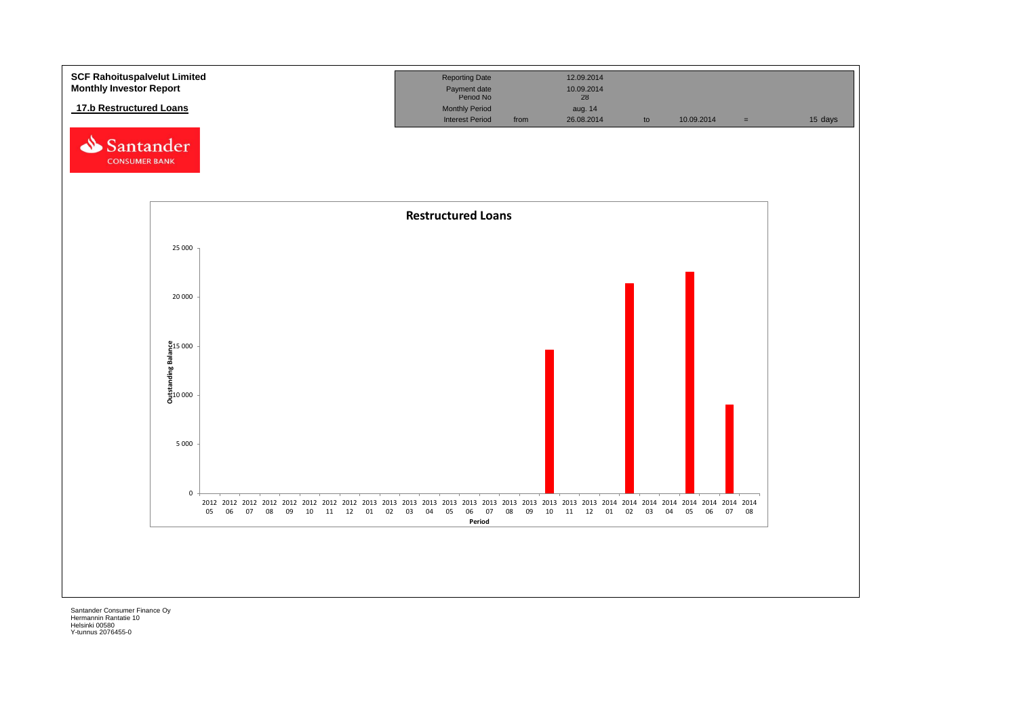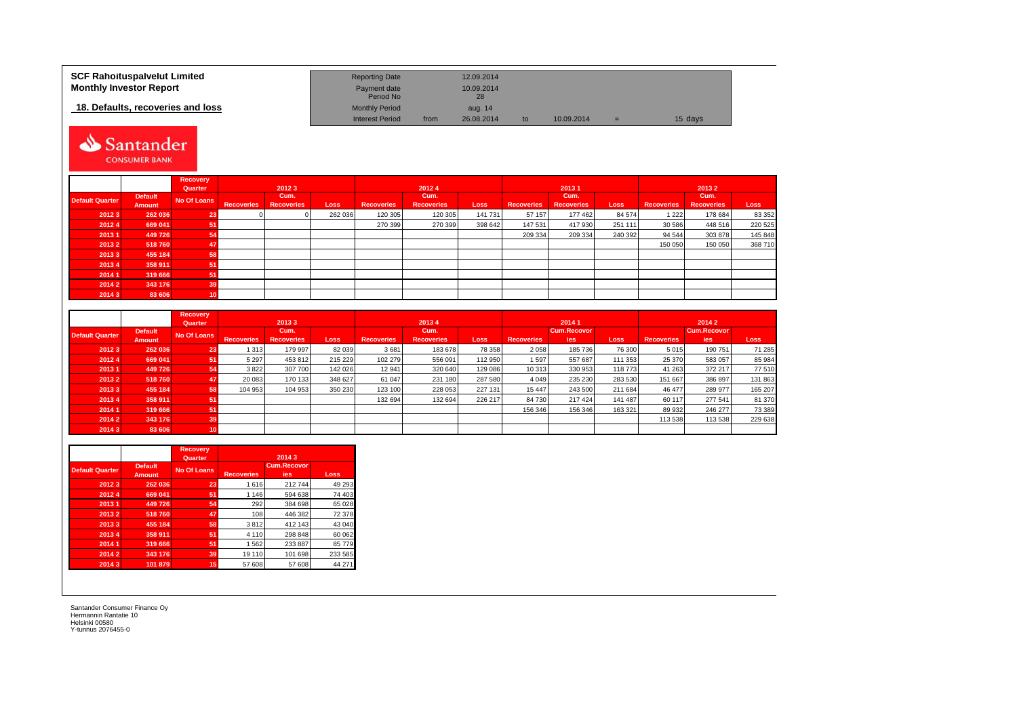| <b>SCF Rahoituspalvelut Limited</b> | <b>Reporting Date</b>     |      | 12.09.2014       |    |            |   |         |
|-------------------------------------|---------------------------|------|------------------|----|------------|---|---------|
| <b>Monthly Investor Report</b>      | Payment date<br>Period No |      | 10.09.2014<br>28 |    |            |   |         |
| 18. Defaults, recoveries and loss   | <b>Monthly Period</b>     |      | aug. 14          |    |            |   |         |
|                                     | <b>Interest Period</b>    | from | 26.08.2014       | to | 10.09.2014 | = | 15 days |

# Santander CONSUMER BANK

|                        |                          | <b>Recovery</b><br>Quarter |                   | 20123                     |         |                   | 20124                     |         |                   | 20131                     |             |                   | 20132                     |         |
|------------------------|--------------------------|----------------------------|-------------------|---------------------------|---------|-------------------|---------------------------|---------|-------------------|---------------------------|-------------|-------------------|---------------------------|---------|
| <b>Default Quarter</b> | <b>Default</b><br>Amount | No Of Loans                | <b>Recoveries</b> | Cum.<br><b>Recoveries</b> | Loss    | <b>Recoveries</b> | Cum.<br><b>Recoveries</b> | Loss    | <b>Recoveries</b> | Cum.<br><b>Recoveries</b> | <b>Loss</b> | <b>Recoveries</b> | Cum.<br><b>Recoveries</b> | Loss    |
| 2012 3                 | 262 036                  | 23                         |                   |                           | 262 036 | 120 305           | 120 305                   | 141 731 | 57 157            | 177 462                   | 84 574      | 1 2 2 2           | 178 684                   | 83 352  |
| 2012 4                 | 669 041                  | 51                         |                   |                           |         | 270 399           | 270 399                   | 398 642 | 147 531           | 417 930                   | 251 111     | 30 586            | 448 516                   | 220 525 |
| 20131                  | 449 726                  | 54                         |                   |                           |         |                   |                           |         | 209 334           | 209 334                   | 240 392     | 94 544            | 303 878                   | 145 848 |
| 2013 2                 | 518760                   | 47                         |                   |                           |         |                   |                           |         |                   |                           |             | 150 050           | 150 050                   | 368 710 |
| 20133                  | 455 184                  | 58                         |                   |                           |         |                   |                           |         |                   |                           |             |                   |                           |         |
| 20134                  | 358 911                  | 51                         |                   |                           |         |                   |                           |         |                   |                           |             |                   |                           |         |
| 2014 1                 | 319 666                  | 51                         |                   |                           |         |                   |                           |         |                   |                           |             |                   |                           |         |
| 2014 2                 | 343 176                  | 39                         |                   |                           |         |                   |                           |         |                   |                           |             |                   |                           |         |
| 20143                  | 83 606                   | 10                         |                   |                           |         |                   |                           |         |                   |                           |             |                   |                           |         |

|                        |                | <b>Recovery</b> |                   |                   |         |                   |                   |         |                   |                    |             |                   |                    |         |  |  |
|------------------------|----------------|-----------------|-------------------|-------------------|---------|-------------------|-------------------|---------|-------------------|--------------------|-------------|-------------------|--------------------|---------|--|--|
|                        |                | Quarter         |                   | 20133             |         |                   | 20134             |         |                   | 20141              |             |                   | 20142              |         |  |  |
| <b>Default Quarter</b> | <b>Default</b> | No Of Loans     |                   | Cum.              |         |                   | Cum.              |         |                   | <b>Cum.Recovor</b> |             |                   | <b>Cum.Recovor</b> |         |  |  |
|                        | Amount         |                 | <b>Recoveries</b> | <b>Recoveries</b> | Loss    | <b>Recoveries</b> | <b>Recoveries</b> | Loss    | <b>Recoveries</b> | ies                | <b>Loss</b> | <b>Recoveries</b> | ies                | Loss    |  |  |
| 2012 3                 | 262 036        | 23              | 1 3 1 3           | 179 997           | 82 039  | 3681              | 183 678           | 78 358  | 2 0 5 8           | 185 736            | 76 300      | 5 0 1 5           | 190 751            | 71 285  |  |  |
| 2012 4                 | 669 041        | 51              | 5 2 9 7           | 453 812           | 215 229 | 102 279           | 556 091           | 112 950 | 1597              | 557 687            | 111 353     | 25 370            | 583 057            | 85 984  |  |  |
| 2013 1                 | 449 726        | 54              | 3822              | 307 700           | 142 026 | 12 941            | 320 640           | 129 086 | 10 313            | 330 953            | 118 773     | 41 263            | 372 217            | 77 510  |  |  |
| 2013 2                 | 518760         | 47              | 20 083            | 170 133           | 348 627 | 61 047            | 231 180           | 287 580 | 4 0 4 9           | 235 230            | 283 530     | 151 667           | 386 897            | 131 863 |  |  |
| 20133                  | 455 184        | 58              | 104 953           | 104 953           | 350 230 | 123 100           | 228 053           | 227 131 | 15 447            | 243 500            | 211 684     | 46 477            | 289 977            | 165 207 |  |  |
| 20134                  | 358 911        | 51              |                   |                   |         | 132 694           | 132 694           | 226 217 | 84 730            | 217 424            | 141 487     | 60 117            | 277 541            | 81 370  |  |  |
| 2014 1                 | 319 666        | 51              |                   |                   |         |                   |                   |         | 156 346           | 156 346            | 163 321     | 89 932            | 246 277            | 73 389  |  |  |
| 2014 2                 | 343 176        | 39              |                   |                   |         |                   |                   |         |                   |                    |             | 113 538           | 113 538            | 229 638 |  |  |
| 2014 3                 | 83 606         |                 |                   |                   |         |                   |                   |         |                   |                    |             |                   |                    |         |  |  |

|                        |                                 | <b>Recovery</b><br>Quarter |                   | 2014 3                           |         |
|------------------------|---------------------------------|----------------------------|-------------------|----------------------------------|---------|
| <b>Default Quarter</b> | <b>Default</b><br><b>Amount</b> | <b>No Of Loans</b>         | <b>Recoveries</b> | <b>Cum.Recovor</b><br><b>ies</b> | Loss    |
| 20123                  | 262 036                         | 23                         | 1616              | 212744                           | 49 293  |
| 20124                  | 669 041                         | 51                         | 1 1 4 6           | 594 638                          | 74 403  |
| 20131                  | 449 726                         | 54                         | 292               | 384 698                          | 65 0 28 |
| 20132                  | 518760                          | 47                         | 108               | 446 382                          | 72 378  |
| 20133                  | 455 184                         | 58                         | 3812              | 412 143                          | 43 040  |
| 20134                  | 358 911                         | 51                         | 4 1 1 0           | 298 848                          | 60 062  |
| 2014 1                 | 319 666                         | 51                         | 1562              | 233 887                          | 85 779  |
| 2014 2                 | 343 176                         | 39                         | 19 110            | 101 698                          | 233 585 |
| 20143                  | 101 879                         | 15                         | 57 608            | 57 608                           | 44 271  |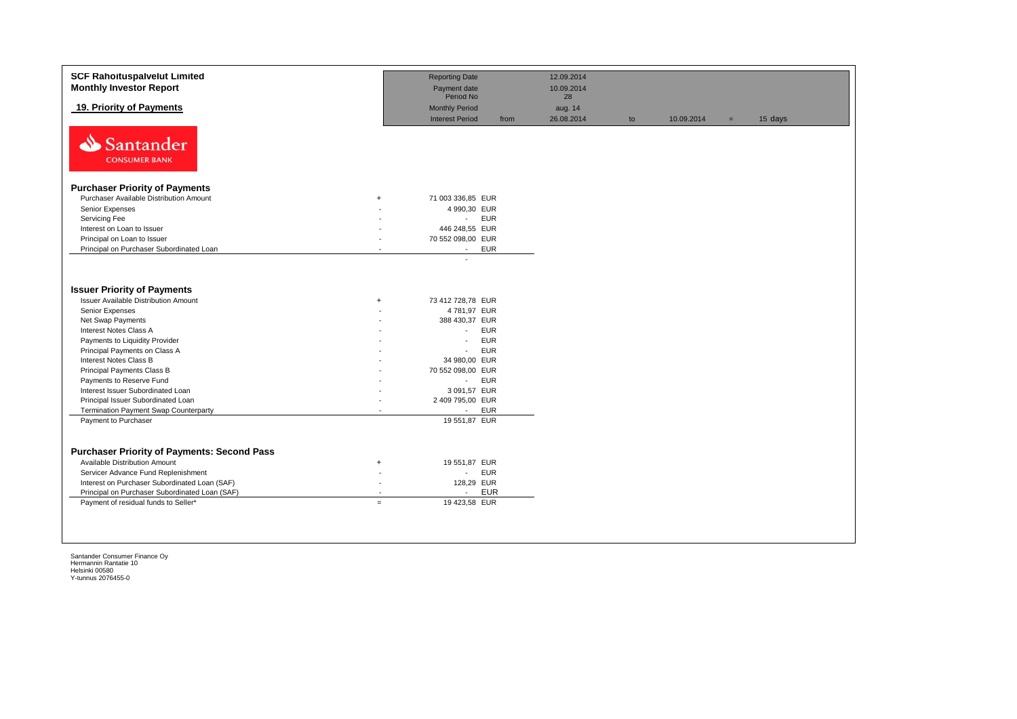| <b>SCF Rahoituspalvelut Limited</b><br><b>Monthly Investor Report</b>             |                | <b>Reporting Date</b><br>Payment date           |            | 12.09.2014<br>10.09.2014 |    |            |     |         |
|-----------------------------------------------------------------------------------|----------------|-------------------------------------------------|------------|--------------------------|----|------------|-----|---------|
|                                                                                   |                | Period No                                       |            | 28                       |    |            |     |         |
| 19. Priority of Payments                                                          |                | <b>Monthly Period</b><br><b>Interest Period</b> | from       | aug. 14<br>26.08.2014    | to | 10.09.2014 | $=$ | 15 days |
| Santander<br><b>CONSUMER BANK</b>                                                 |                |                                                 |            |                          |    |            |     |         |
| <b>Purchaser Priority of Payments</b>                                             |                |                                                 |            |                          |    |            |     |         |
| Purchaser Available Distribution Amount                                           | $\ddot{}$      | 71 003 336,85 EUR                               |            |                          |    |            |     |         |
| Senior Expenses                                                                   |                | 4 990,30 EUR                                    |            |                          |    |            |     |         |
| Servicing Fee                                                                     |                | $\sim 10$                                       | <b>EUR</b> |                          |    |            |     |         |
| Interest on Loan to Issuer                                                        |                | 446 248,55 EUR                                  |            |                          |    |            |     |         |
| Principal on Loan to Issuer                                                       |                | 70 552 098,00 EUR                               |            |                          |    |            |     |         |
| Principal on Purchaser Subordinated Loan                                          |                | $\sim$                                          | <b>EUR</b> |                          |    |            |     |         |
| <b>Issuer Priority of Payments</b><br><b>Issuer Available Distribution Amount</b> | ÷              | 73 412 728,78 EUR                               |            |                          |    |            |     |         |
| Senior Expenses                                                                   |                | 4781,97 EUR                                     |            |                          |    |            |     |         |
| Net Swap Payments                                                                 |                | 388 430,37 EUR                                  |            |                          |    |            |     |         |
| Interest Notes Class A                                                            |                | ÷.                                              | <b>EUR</b> |                          |    |            |     |         |
| Payments to Liquidity Provider                                                    |                | $\blacksquare$                                  | <b>EUR</b> |                          |    |            |     |         |
| Principal Payments on Class A                                                     |                | $\overline{a}$                                  | <b>EUR</b> |                          |    |            |     |         |
| Interest Notes Class B                                                            |                | 34 980,00 EUR                                   |            |                          |    |            |     |         |
| Principal Payments Class B                                                        |                | 70 552 098,00 EUR                               |            |                          |    |            |     |         |
| Payments to Reserve Fund                                                          |                | $\sim$                                          | <b>EUR</b> |                          |    |            |     |         |
| Interest Issuer Subordinated Loan                                                 |                | 3 091,57 EUR                                    |            |                          |    |            |     |         |
| Principal Issuer Subordinated Loan                                                |                | 2 409 795,00 EUR                                |            |                          |    |            |     |         |
| Termination Payment Swap Counterparty                                             |                | $\sim$                                          | <b>EUR</b> |                          |    |            |     |         |
| Payment to Purchaser                                                              |                | 19 551,87 EUR                                   |            |                          |    |            |     |         |
| <b>Purchaser Priority of Payments: Second Pass</b>                                |                |                                                 |            |                          |    |            |     |         |
| Available Distribution Amount                                                     | $\ddot{}$      | 19 551,87 EUR                                   |            |                          |    |            |     |         |
| Servicer Advance Fund Replenishment                                               |                | ÷.                                              | <b>EUR</b> |                          |    |            |     |         |
| Interest on Purchaser Subordinated Loan (SAF)                                     | $\sim$         | 128,29 EUR                                      |            |                          |    |            |     |         |
| Principal on Purchaser Subordinated Loan (SAF)                                    | $\overline{a}$ | $\sim$                                          | <b>EUR</b> |                          |    |            |     |         |
| Payment of residual funds to Seller*                                              | $=$            | 19 423,58 EUR                                   |            |                          |    |            |     |         |
|                                                                                   |                |                                                 |            |                          |    |            |     |         |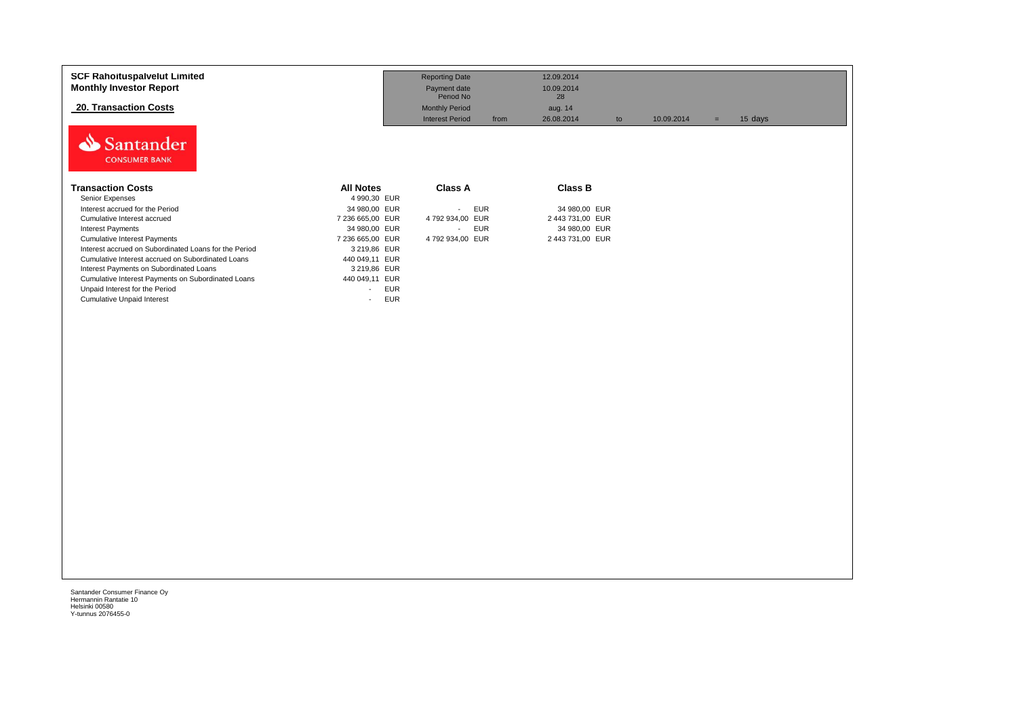| <b>SCF Rahoituspalvelut Limited</b><br><b>Monthly Investor Report</b><br><b>20. Transaction Costs</b><br>Santander<br><b>CONSUMER BANK</b> |                                        | <b>Reporting Date</b><br>Payment date<br>Period No<br><b>Monthly Period</b><br><b>Interest Period</b><br>from | 12.09.2014<br>10.09.2014<br>28<br>aug. 14<br>26.08.2014<br>to | 10.09.2014 | 15 days<br>$=$ |  |
|--------------------------------------------------------------------------------------------------------------------------------------------|----------------------------------------|---------------------------------------------------------------------------------------------------------------|---------------------------------------------------------------|------------|----------------|--|
| <b>Transaction Costs</b>                                                                                                                   | <b>All Notes</b><br>4 990,30 EUR       | <b>Class A</b>                                                                                                | Class B                                                       |            |                |  |
| Senior Expenses<br>Interest accrued for the Period                                                                                         |                                        | <b>EUR</b>                                                                                                    |                                                               |            |                |  |
|                                                                                                                                            | 34 980,00 EUR                          | $\sim$                                                                                                        | 34 980,00 EUR                                                 |            |                |  |
| Cumulative Interest accrued                                                                                                                | 7 236 665,00 EUR                       | 4 792 934,00 EUR                                                                                              | 2 443 731,00 EUR                                              |            |                |  |
| <b>Interest Payments</b>                                                                                                                   | 34 980,00 EUR                          | <b>EUR</b><br>$\sim$                                                                                          | 34 980,00 EUR                                                 |            |                |  |
| <b>Cumulative Interest Payments</b>                                                                                                        | 7 236 665,00 EUR                       | 4 792 934,00 EUR                                                                                              | 2 443 731,00 EUR                                              |            |                |  |
| Interest accrued on Subordinated Loans for the Period                                                                                      | 3 219,86 EUR                           |                                                                                                               |                                                               |            |                |  |
| Cumulative Interest accrued on Subordinated Loans                                                                                          | 440 049,11 EUR                         |                                                                                                               |                                                               |            |                |  |
| Interest Payments on Subordinated Loans                                                                                                    | 3 219,86 EUR                           |                                                                                                               |                                                               |            |                |  |
| Cumulative Interest Payments on Subordinated Loans                                                                                         | 440 049,11 EUR                         |                                                                                                               |                                                               |            |                |  |
| Unpaid Interest for the Period                                                                                                             | <b>EUR</b><br>$\overline{\phantom{a}}$ |                                                                                                               |                                                               |            |                |  |
| <b>Cumulative Unpaid Interest</b>                                                                                                          | <b>EUR</b><br>$\overline{\phantom{a}}$ |                                                                                                               |                                                               |            |                |  |
|                                                                                                                                            |                                        |                                                                                                               |                                                               |            |                |  |
|                                                                                                                                            |                                        |                                                                                                               |                                                               |            |                |  |
|                                                                                                                                            |                                        |                                                                                                               |                                                               |            |                |  |